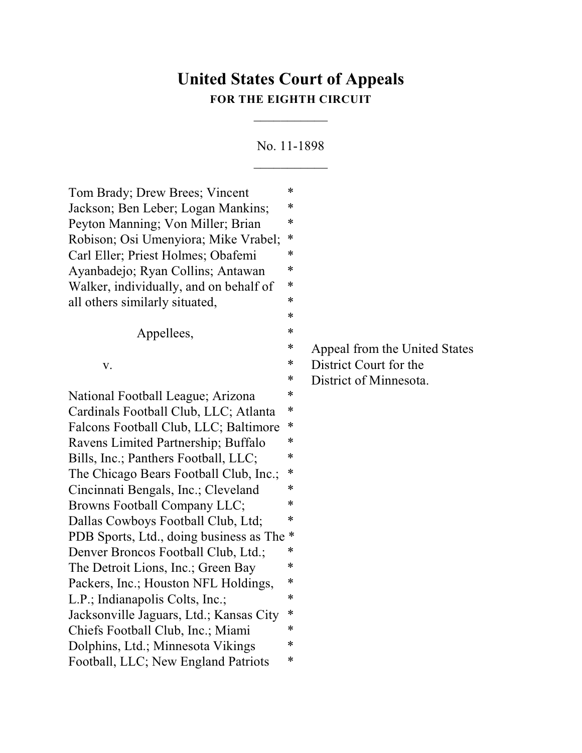# **United States Court of Appeals FOR THE EIGHTH CIRCUIT**

 $\overline{\phantom{a}}$ 

No. 11-1898

 $\mathcal{L}=\mathcal{L}^{\mathcal{L}}$ 

| Tom Brady; Drew Brees; Vincent            | *      |                               |
|-------------------------------------------|--------|-------------------------------|
| Jackson; Ben Leber; Logan Mankins;        | ∗      |                               |
| Peyton Manning; Von Miller; Brian         | *      |                               |
| Robison; Osi Umenyiora; Mike Vrabel;      | ∗      |                               |
| Carl Eller; Priest Holmes; Obafemi        | *      |                               |
| Ayanbadejo; Ryan Collins; Antawan         | *      |                               |
| Walker, individually, and on behalf of    | *      |                               |
| all others similarly situated,            | ∗      |                               |
|                                           | ∗      |                               |
| Appellees,                                | *      |                               |
|                                           | $\ast$ | Appeal from the United States |
| V.                                        | ∗      | District Court for the        |
|                                           | $\ast$ | District of Minnesota.        |
| National Football League; Arizona         | *      |                               |
| Cardinals Football Club, LLC; Atlanta     | *      |                               |
| Falcons Football Club, LLC; Baltimore     | ∗      |                               |
| Ravens Limited Partnership; Buffalo       | *      |                               |
| Bills, Inc.; Panthers Football, LLC;      | *      |                               |
| The Chicago Bears Football Club, Inc.;    | ∗      |                               |
| Cincinnati Bengals, Inc.; Cleveland       | *      |                               |
| Browns Football Company LLC;              | *      |                               |
| Dallas Cowboys Football Club, Ltd;        | *      |                               |
| PDB Sports, Ltd., doing business as The * |        |                               |
| Denver Broncos Football Club, Ltd.;       | *      |                               |
| The Detroit Lions, Inc.; Green Bay        | *      |                               |
| Packers, Inc.; Houston NFL Holdings,      | ∗      |                               |
| L.P.; Indianapolis Colts, Inc.;           | $\ast$ |                               |
| Jacksonville Jaguars, Ltd.; Kansas City   | $\ast$ |                               |
| Chiefs Football Club, Inc.; Miami         | *      |                               |
| Dolphins, Ltd.; Minnesota Vikings         | *      |                               |
| Football, LLC; New England Patriots       | ∗      |                               |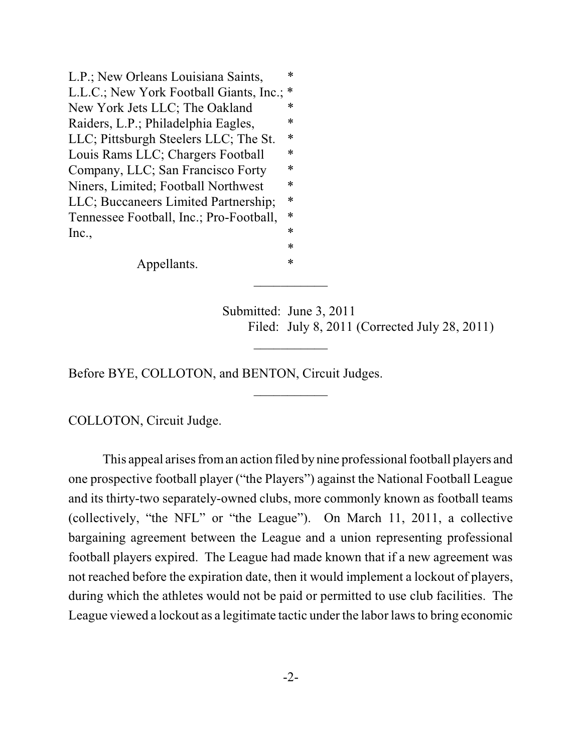L.P.; New Orleans Louisiana Saints,  $*$ L.L.C.; New York Football Giants, Inc.; \* New York Jets LLC; The Oakland  $*$ Raiders, L.P.; Philadelphia Eagles,  $*$ LLC; Pittsburgh Steelers LLC; The St. \* Louis Rams LLC; Chargers Football \* Company, LLC; San Francisco Forty \* Niners, Limited; Football Northwest  $*$ LLC; Buccaneers Limited Partnership; \* Tennessee Football, Inc.; Pro-Football, \*  $\text{Inc.}, \quad$ \*

Appellants.  $*$ 

Submitted: June 3, 2011 Filed: July 8, 2011 (Corrected July 28, 2011)

Before BYE, COLLOTON, and BENTON, Circuit Judges.

COLLOTON, Circuit Judge.

This appeal arises from an action filed by nine professional football players and one prospective football player ("the Players") against the National Football League and its thirty-two separately-owned clubs, more commonly known as football teams (collectively, "the NFL" or "the League"). On March 11, 2011, a collective bargaining agreement between the League and a union representing professional football players expired. The League had made known that if a new agreement was not reached before the expiration date, then it would implement a lockout of players, during which the athletes would not be paid or permitted to use club facilities. The League viewed a lockout as a legitimate tactic under the labor laws to bring economic

 $\frac{1}{2}$ 

 $\overline{\phantom{a}}$ 

 $\frac{1}{2}$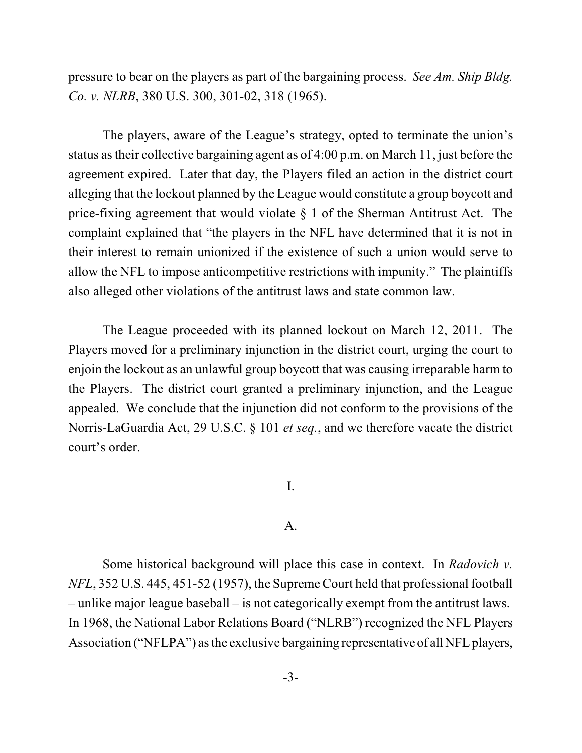pressure to bear on the players as part of the bargaining process. *See Am. Ship Bldg. Co. v. NLRB*, 380 U.S. 300, 301-02, 318 (1965).

The players, aware of the League's strategy, opted to terminate the union's status astheir collective bargaining agent as of 4:00 p.m. on March 11, just before the agreement expired. Later that day, the Players filed an action in the district court alleging that the lockout planned by the League would constitute a group boycott and price-fixing agreement that would violate § 1 of the Sherman Antitrust Act. The complaint explained that "the players in the NFL have determined that it is not in their interest to remain unionized if the existence of such a union would serve to allow the NFL to impose anticompetitive restrictions with impunity." The plaintiffs also alleged other violations of the antitrust laws and state common law.

The League proceeded with its planned lockout on March 12, 2011. The Players moved for a preliminary injunction in the district court, urging the court to enjoin the lockout as an unlawful group boycott that was causing irreparable harm to the Players. The district court granted a preliminary injunction, and the League appealed. We conclude that the injunction did not conform to the provisions of the Norris-LaGuardia Act, 29 U.S.C. § 101 *et seq.*, and we therefore vacate the district court's order.

I.

## A.

Some historical background will place this case in context. In *Radovich v. NFL*, 352 U.S. 445, 451-52 (1957), the Supreme Court held that professional football – unlike major league baseball – is not categorically exempt from the antitrust laws. In 1968, the National Labor Relations Board ("NLRB") recognized the NFL Players Association ("NFLPA") as the exclusive bargaining representative of all NFL players,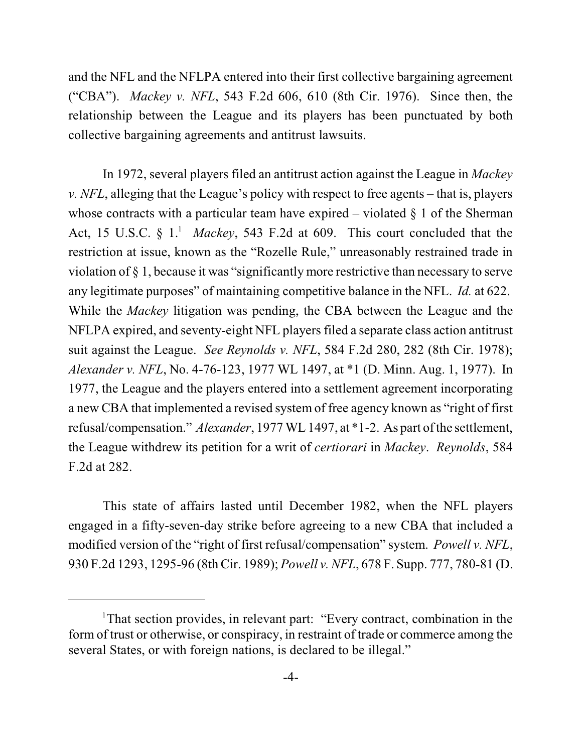and the NFL and the NFLPA entered into their first collective bargaining agreement ("CBA"). *Mackey v. NFL*, 543 F.2d 606, 610 (8th Cir. 1976). Since then, the relationship between the League and its players has been punctuated by both collective bargaining agreements and antitrust lawsuits.

In 1972, several players filed an antitrust action against the League in *Mackey v. NFL*, alleging that the League's policy with respect to free agents – that is, players whose contracts with a particular team have expired – violated  $\S$  1 of the Sherman Act, 15 U.S.C.  $\S$  1.<sup>1</sup> *Mackey*, 543 F.2d at 609. This court concluded that the restriction at issue, known as the "Rozelle Rule," unreasonably restrained trade in violation of § 1, because it was "significantly more restrictive than necessary to serve any legitimate purposes" of maintaining competitive balance in the NFL. *Id.* at 622. While the *Mackey* litigation was pending, the CBA between the League and the NFLPA expired, and seventy-eight NFL players filed a separate class action antitrust suit against the League. *See Reynolds v. NFL*, 584 F.2d 280, 282 (8th Cir. 1978); *Alexander v. NFL*, No. 4-76-123, 1977 WL 1497, at \*1 (D. Minn. Aug. 1, 1977). In 1977, the League and the players entered into a settlement agreement incorporating a new CBA that implemented a revised system of free agency known as "right of first refusal/compensation." *Alexander*, 1977 WL 1497, at \*1-2. As part ofthe settlement, the League withdrew its petition for a writ of *certiorari* in *Mackey*. *Reynolds*, 584 F.2d at 282.

This state of affairs lasted until December 1982, when the NFL players engaged in a fifty-seven-day strike before agreeing to a new CBA that included a modified version of the "right of first refusal/compensation" system. *Powell v. NFL*, 930 F.2d 1293, 1295-96 (8th Cir. 1989); *Powell v. NFL*, 678 F. Supp. 777, 780-81 (D.

<sup>&</sup>lt;sup>1</sup>That section provides, in relevant part: "Every contract, combination in the form of trust or otherwise, or conspiracy, in restraint of trade or commerce among the several States, or with foreign nations, is declared to be illegal."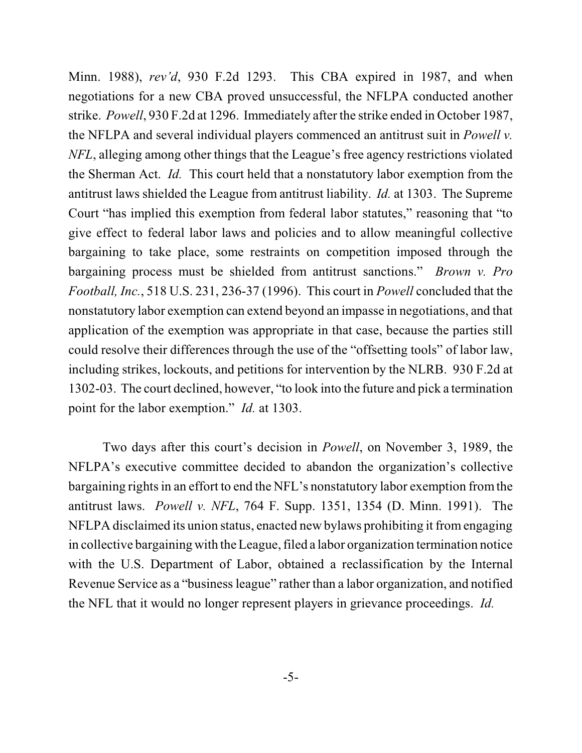Minn. 1988), *rev'd*, 930 F.2d 1293. This CBA expired in 1987, and when negotiations for a new CBA proved unsuccessful, the NFLPA conducted another strike. *Powell*, 930 F.2d at 1296. Immediately after the strike ended in October 1987, the NFLPA and several individual players commenced an antitrust suit in *Powell v. NFL*, alleging among other things that the League's free agency restrictions violated the Sherman Act. *Id.* This court held that a nonstatutory labor exemption from the antitrust laws shielded the League from antitrust liability. *Id.* at 1303. The Supreme Court "has implied this exemption from federal labor statutes," reasoning that "to give effect to federal labor laws and policies and to allow meaningful collective bargaining to take place, some restraints on competition imposed through the bargaining process must be shielded from antitrust sanctions." *Brown v. Pro Football, Inc.*, 518 U.S. 231, 236-37 (1996). This court in *Powell* concluded that the nonstatutory labor exemption can extend beyond an impasse in negotiations, and that application of the exemption was appropriate in that case, because the parties still could resolve their differences through the use of the "offsetting tools" of labor law, including strikes, lockouts, and petitions for intervention by the NLRB. 930 F.2d at 1302-03. The court declined, however, "to look into the future and pick a termination point for the labor exemption." *Id.* at 1303.

Two days after this court's decision in *Powell*, on November 3, 1989, the NFLPA's executive committee decided to abandon the organization's collective bargaining rights in an effort to end the NFL's nonstatutory labor exemption fromthe antitrust laws. *Powell v. NFL*, 764 F. Supp. 1351, 1354 (D. Minn. 1991). The NFLPA disclaimed its union status, enacted new bylaws prohibiting it fromengaging in collective bargaining with the League, filed a labor organization termination notice with the U.S. Department of Labor, obtained a reclassification by the Internal Revenue Service as a "business league" rather than a labor organization, and notified the NFL that it would no longer represent players in grievance proceedings. *Id.*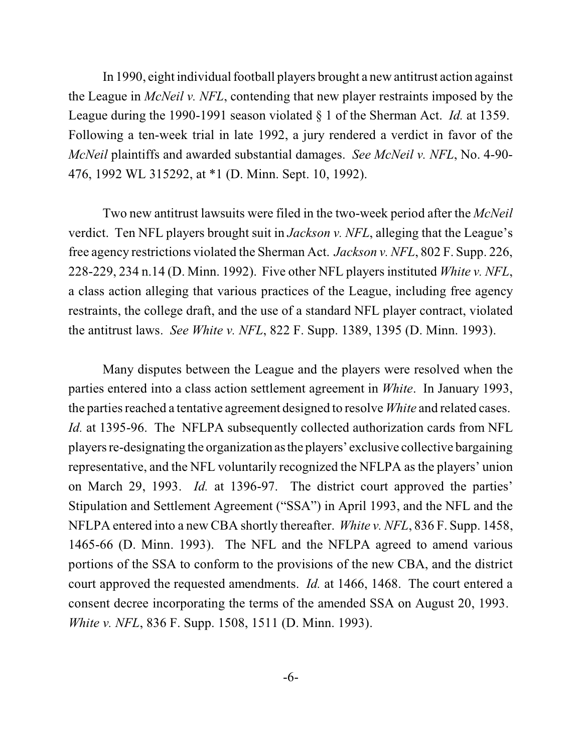In 1990, eight individual football players brought a new antitrust action against the League in *McNeil v. NFL*, contending that new player restraints imposed by the League during the 1990-1991 season violated § 1 of the Sherman Act. *Id.* at 1359. Following a ten-week trial in late 1992, a jury rendered a verdict in favor of the *McNeil* plaintiffs and awarded substantial damages. *See McNeil v. NFL*, No. 4-90- 476, 1992 WL 315292, at \*1 (D. Minn. Sept. 10, 1992).

Two new antitrust lawsuits were filed in the two-week period after the *McNeil* verdict. Ten NFL players brought suit in *Jackson v. NFL*, alleging that the League's free agency restrictions violated the Sherman Act. *Jackson v. NFL*, 802 F. Supp. 226, 228-229, 234 n.14 (D. Minn. 1992). Five other NFL players instituted *White v. NFL*, a class action alleging that various practices of the League, including free agency restraints, the college draft, and the use of a standard NFL player contract, violated the antitrust laws. *See White v. NFL*, 822 F. Supp. 1389, 1395 (D. Minn. 1993).

Many disputes between the League and the players were resolved when the parties entered into a class action settlement agreement in *White*. In January 1993, the parties reached a tentative agreement designed to resolve *White* and related cases. *Id.* at 1395-96. The NFLPA subsequently collected authorization cards from NFL players re-designating the organization as the players' exclusive collective bargaining representative, and the NFL voluntarily recognized the NFLPA as the players' union on March 29, 1993. *Id.* at 1396-97. The district court approved the parties' Stipulation and Settlement Agreement ("SSA") in April 1993, and the NFL and the NFLPA entered into a new CBA shortly thereafter. *White v. NFL*, 836 F. Supp. 1458, 1465-66 (D. Minn. 1993). The NFL and the NFLPA agreed to amend various portions of the SSA to conform to the provisions of the new CBA, and the district court approved the requested amendments. *Id.* at 1466, 1468. The court entered a consent decree incorporating the terms of the amended SSA on August 20, 1993. *White v. NFL*, 836 F. Supp. 1508, 1511 (D. Minn. 1993).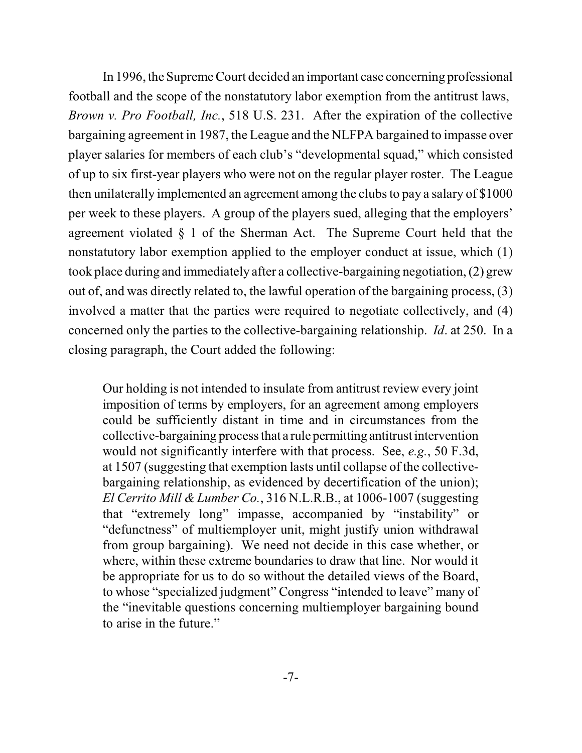In 1996, the Supreme Court decided an important case concerning professional football and the scope of the nonstatutory labor exemption from the antitrust laws, *Brown v. Pro Football, Inc.*, 518 U.S. 231. After the expiration of the collective bargaining agreement in 1987, the League and the NLFPA bargained to impasse over player salaries for members of each club's "developmental squad," which consisted of up to six first-year players who were not on the regular player roster. The League then unilaterally implemented an agreement among the clubs to pay a salary of \$1000 per week to these players. A group of the players sued, alleging that the employers' agreement violated § 1 of the Sherman Act. The Supreme Court held that the nonstatutory labor exemption applied to the employer conduct at issue, which (1) took place during and immediately after a collective-bargaining negotiation, (2) grew out of, and was directly related to, the lawful operation of the bargaining process, (3) involved a matter that the parties were required to negotiate collectively, and (4) concerned only the parties to the collective-bargaining relationship. *Id*. at 250. In a closing paragraph, the Court added the following:

Our holding is not intended to insulate from antitrust review every joint imposition of terms by employers, for an agreement among employers could be sufficiently distant in time and in circumstances from the collective-bargaining process that a rule permitting antitrust intervention would not significantly interfere with that process. See, *e.g.*, 50 F.3d, at 1507 (suggesting that exemption lasts until collapse of the collectivebargaining relationship, as evidenced by decertification of the union); *El Cerrito Mill & Lumber Co.*, 316 N.L.R.B., at 1006-1007 (suggesting that "extremely long" impasse, accompanied by "instability" or "defunctness" of multiemployer unit, might justify union withdrawal from group bargaining). We need not decide in this case whether, or where, within these extreme boundaries to draw that line. Nor would it be appropriate for us to do so without the detailed views of the Board, to whose "specialized judgment" Congress "intended to leave" many of the "inevitable questions concerning multiemployer bargaining bound to arise in the future."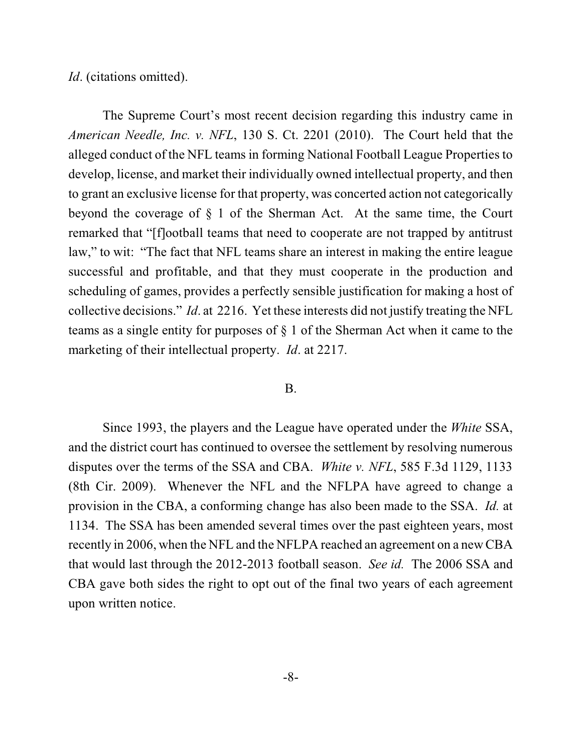#### *Id.* (citations omitted).

The Supreme Court's most recent decision regarding this industry came in *American Needle, Inc. v. NFL*, 130 S. Ct. 2201 (2010). The Court held that the alleged conduct of the NFL teams in forming National Football League Properties to develop, license, and market their individually owned intellectual property, and then to grant an exclusive license for that property, was concerted action not categorically beyond the coverage of § 1 of the Sherman Act. At the same time, the Court remarked that "[f]ootball teams that need to cooperate are not trapped by antitrust law," to wit: "The fact that NFL teams share an interest in making the entire league successful and profitable, and that they must cooperate in the production and scheduling of games, provides a perfectly sensible justification for making a host of collective decisions." *Id*. at 2216. Yet these interests did not justify treating the NFL teams as a single entity for purposes of § 1 of the Sherman Act when it came to the marketing of their intellectual property. *Id*. at 2217.

#### B.

Since 1993, the players and the League have operated under the *White* SSA, and the district court has continued to oversee the settlement by resolving numerous disputes over the terms of the SSA and CBA. *White v. NFL*, 585 F.3d 1129, 1133 (8th Cir. 2009). Whenever the NFL and the NFLPA have agreed to change a provision in the CBA, a conforming change has also been made to the SSA. *Id.* at 1134. The SSA has been amended several times over the past eighteen years, most recently in 2006, when the NFL and the NFLPA reached an agreement on a new CBA that would last through the 2012-2013 football season. *See id.* The 2006 SSA and CBA gave both sides the right to opt out of the final two years of each agreement upon written notice.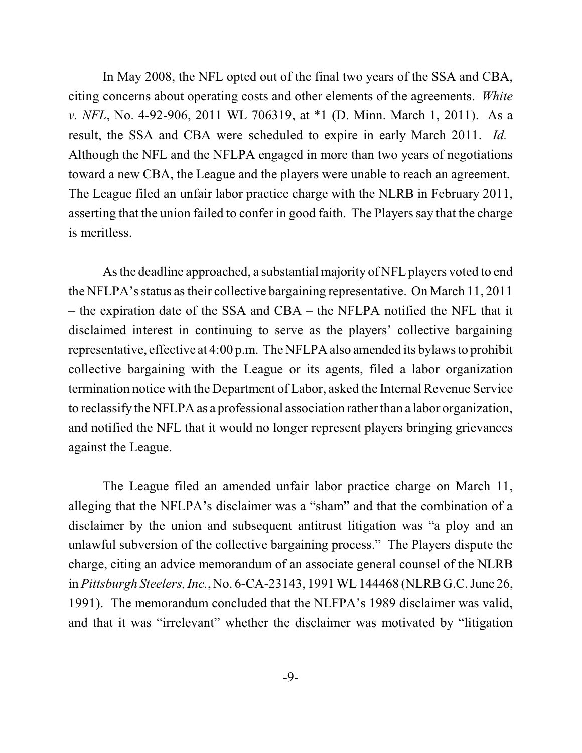In May 2008, the NFL opted out of the final two years of the SSA and CBA, citing concerns about operating costs and other elements of the agreements. *White v. NFL*, No. 4-92-906, 2011 WL 706319, at \*1 (D. Minn. March 1, 2011). As a result, the SSA and CBA were scheduled to expire in early March 2011. *Id.* Although the NFL and the NFLPA engaged in more than two years of negotiations toward a new CBA, the League and the players were unable to reach an agreement. The League filed an unfair labor practice charge with the NLRB in February 2011, asserting that the union failed to confer in good faith. The Players say that the charge is meritless.

As the deadline approached, a substantial majority of NFL players voted to end the NFLPA's status astheir collective bargaining representative. On March 11, 2011 – the expiration date of the SSA and CBA – the NFLPA notified the NFL that it disclaimed interest in continuing to serve as the players' collective bargaining representative, effective at 4:00 p.m. The NFLPA also amended its bylawsto prohibit collective bargaining with the League or its agents, filed a labor organization termination notice with the Department of Labor, asked the Internal Revenue Service to reclassify the NFLPA as a professional association rather than a labor organization, and notified the NFL that it would no longer represent players bringing grievances against the League.

The League filed an amended unfair labor practice charge on March 11, alleging that the NFLPA's disclaimer was a "sham" and that the combination of a disclaimer by the union and subsequent antitrust litigation was "a ploy and an unlawful subversion of the collective bargaining process." The Players dispute the charge, citing an advice memorandum of an associate general counsel of the NLRB in *Pittsburgh Steelers, Inc.*, No. 6-CA-23143, 1991 WL 144468 (NLRB G.C. June 26, 1991). The memorandum concluded that the NLFPA's 1989 disclaimer was valid, and that it was "irrelevant" whether the disclaimer was motivated by "litigation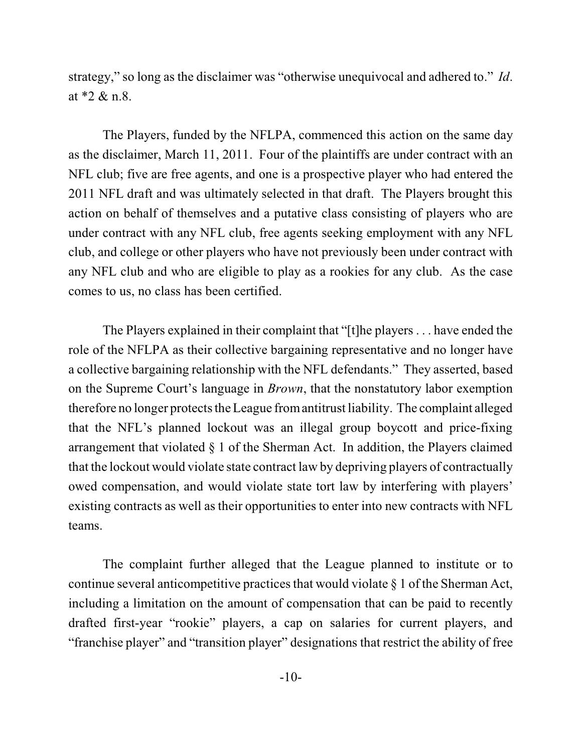strategy," so long as the disclaimer was "otherwise unequivocal and adhered to." *Id*. at \*2 & n.8.

The Players, funded by the NFLPA, commenced this action on the same day as the disclaimer, March 11, 2011. Four of the plaintiffs are under contract with an NFL club; five are free agents, and one is a prospective player who had entered the 2011 NFL draft and was ultimately selected in that draft. The Players brought this action on behalf of themselves and a putative class consisting of players who are under contract with any NFL club, free agents seeking employment with any NFL club, and college or other players who have not previously been under contract with any NFL club and who are eligible to play as a rookies for any club. As the case comes to us, no class has been certified.

The Players explained in their complaint that "[t]he players . . . have ended the role of the NFLPA as their collective bargaining representative and no longer have a collective bargaining relationship with the NFL defendants." They asserted, based on the Supreme Court's language in *Brown*, that the nonstatutory labor exemption therefore no longer protects the League fromantitrust liability. The complaint alleged that the NFL's planned lockout was an illegal group boycott and price-fixing arrangement that violated § 1 of the Sherman Act. In addition, the Players claimed that the lockout would violate state contract law by depriving players of contractually owed compensation, and would violate state tort law by interfering with players' existing contracts as well as their opportunities to enter into new contracts with NFL teams.

The complaint further alleged that the League planned to institute or to continue several anticompetitive practices that would violate  $\S$  1 of the Sherman Act, including a limitation on the amount of compensation that can be paid to recently drafted first-year "rookie" players, a cap on salaries for current players, and "franchise player" and "transition player" designations that restrict the ability of free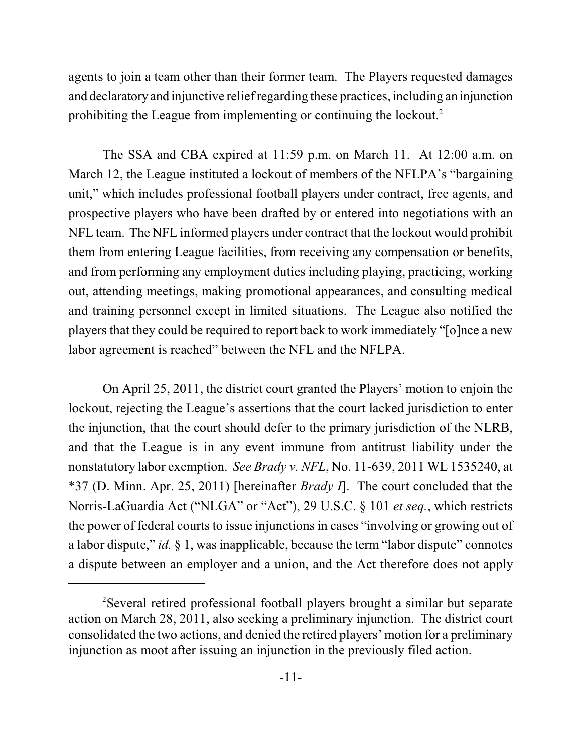agents to join a team other than their former team. The Players requested damages and declaratory and injunctive relief regarding these practices, including an injunction prohibiting the League from implementing or continuing the lockout.<sup>2</sup>

The SSA and CBA expired at 11:59 p.m. on March 11. At 12:00 a.m. on March 12, the League instituted a lockout of members of the NFLPA's "bargaining unit," which includes professional football players under contract, free agents, and prospective players who have been drafted by or entered into negotiations with an NFL team. The NFL informed players under contract that the lockout would prohibit them from entering League facilities, from receiving any compensation or benefits, and from performing any employment duties including playing, practicing, working out, attending meetings, making promotional appearances, and consulting medical and training personnel except in limited situations. The League also notified the players that they could be required to report back to work immediately "[o]nce a new labor agreement is reached" between the NFL and the NFLPA.

On April 25, 2011, the district court granted the Players' motion to enjoin the lockout, rejecting the League's assertions that the court lacked jurisdiction to enter the injunction, that the court should defer to the primary jurisdiction of the NLRB, and that the League is in any event immune from antitrust liability under the nonstatutory labor exemption. *See Brady v. NFL*, No. 11-639, 2011 WL 1535240, at \*37 (D. Minn. Apr. 25, 2011) [hereinafter *Brady I*]. The court concluded that the Norris-LaGuardia Act ("NLGA" or "Act"), 29 U.S.C. § 101 *et seq.*, which restricts the power of federal courts to issue injunctions in cases "involving or growing out of a labor dispute," *id.* § 1, wasinapplicable, because the term "labor dispute" connotes a dispute between an employer and a union, and the Act therefore does not apply

Several retired professional football players brought a similar but separate <sup>2</sup> action on March 28, 2011, also seeking a preliminary injunction. The district court consolidated the two actions, and denied the retired players' motion for a preliminary injunction as moot after issuing an injunction in the previously filed action.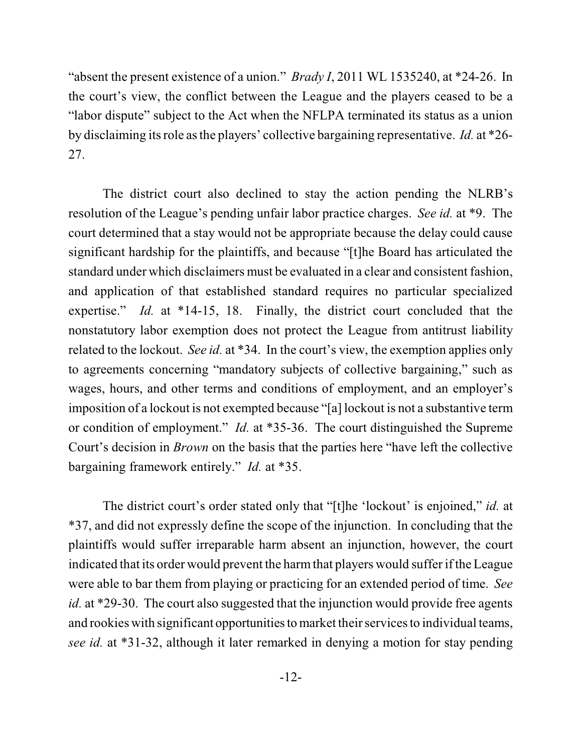"absent the present existence of a union." *Brady I*, 2011 WL 1535240, at \*24-26. In the court's view, the conflict between the League and the players ceased to be a "labor dispute" subject to the Act when the NFLPA terminated its status as a union by disclaiming its role asthe players' collective bargaining representative. *Id.* at \*26- 27.

The district court also declined to stay the action pending the NLRB's resolution of the League's pending unfair labor practice charges. *See id.* at \*9. The court determined that a stay would not be appropriate because the delay could cause significant hardship for the plaintiffs, and because "[t]he Board has articulated the standard under which disclaimers must be evaluated in a clear and consistent fashion, and application of that established standard requires no particular specialized expertise." *Id.* at \*14-15, 18. Finally, the district court concluded that the nonstatutory labor exemption does not protect the League from antitrust liability related to the lockout. *See id.* at \*34. In the court's view, the exemption applies only to agreements concerning "mandatory subjects of collective bargaining," such as wages, hours, and other terms and conditions of employment, and an employer's imposition of a lockout is not exempted because "[a] lockout is not a substantive term or condition of employment." *Id.* at \*35-36. The court distinguished the Supreme Court's decision in *Brown* on the basis that the parties here "have left the collective bargaining framework entirely." *Id.* at \*35.

The district court's order stated only that "[t]he 'lockout' is enjoined," *id.* at \*37, and did not expressly define the scope of the injunction. In concluding that the plaintiffs would suffer irreparable harm absent an injunction, however, the court indicated that its order would prevent the harmthat players would suffer if the League were able to bar them from playing or practicing for an extended period of time. *See id.* at \*29-30. The court also suggested that the injunction would provide free agents and rookies with significant opportunities to market their servicesto individual teams, *see id.* at \*31-32, although it later remarked in denying a motion for stay pending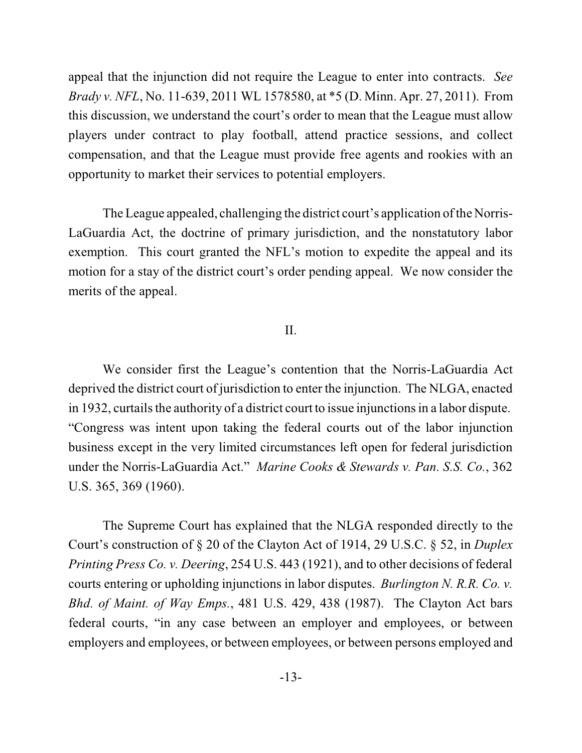appeal that the injunction did not require the League to enter into contracts. *See Brady v. NFL*, No. 11-639, 2011 WL 1578580, at \*5 (D. Minn. Apr. 27, 2011). From this discussion, we understand the court's order to mean that the League must allow players under contract to play football, attend practice sessions, and collect compensation, and that the League must provide free agents and rookies with an opportunity to market their services to potential employers.

The League appealed, challenging the district court's application ofthe Norris-LaGuardia Act, the doctrine of primary jurisdiction, and the nonstatutory labor exemption. This court granted the NFL's motion to expedite the appeal and its motion for a stay of the district court's order pending appeal. We now consider the merits of the appeal.

#### II.

We consider first the League's contention that the Norris-LaGuardia Act deprived the district court of jurisdiction to enter the injunction. The NLGA, enacted in 1932, curtails the authority of a district court to issue injunctionsin a labor dispute. "Congress was intent upon taking the federal courts out of the labor injunction business except in the very limited circumstances left open for federal jurisdiction under the Norris-LaGuardia Act." *Marine Cooks & Stewards v. Pan. S.S. Co.*, 362 U.S. 365, 369 (1960).

The Supreme Court has explained that the NLGA responded directly to the Court's construction of § 20 of the Clayton Act of 1914, 29 U.S.C. § 52, in *Duplex Printing Press Co. v. Deering*, 254 U.S. 443 (1921), and to other decisions of federal courts entering or upholding injunctions in labor disputes. *Burlington N. R.R. Co. v. Bhd. of Maint. of Way Emps.*, 481 U.S. 429, 438 (1987). The Clayton Act bars federal courts, "in any case between an employer and employees, or between employers and employees, or between employees, or between persons employed and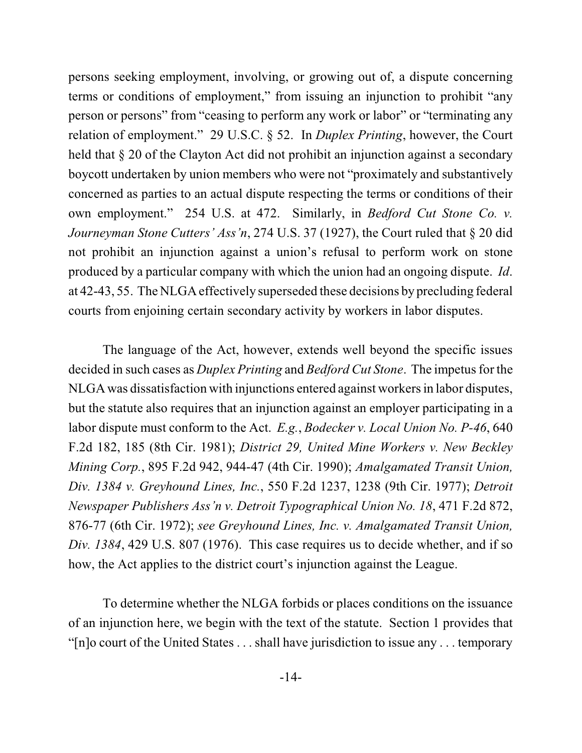persons seeking employment, involving, or growing out of, a dispute concerning terms or conditions of employment," from issuing an injunction to prohibit "any person or persons" from "ceasing to perform any work or labor" or "terminating any relation of employment." 29 U.S.C. § 52. In *Duplex Printing*, however, the Court held that § 20 of the Clayton Act did not prohibit an injunction against a secondary boycott undertaken by union members who were not "proximately and substantively concerned as parties to an actual dispute respecting the terms or conditions of their own employment." 254 U.S. at 472. Similarly, in *Bedford Cut Stone Co. v. Journeyman Stone Cutters' Ass'n*, 274 U.S. 37 (1927), the Court ruled that § 20 did not prohibit an injunction against a union's refusal to perform work on stone produced by a particular company with which the union had an ongoing dispute. *Id*. at 42-43, 55. The NLGA effectively superseded these decisions by precluding federal courts from enjoining certain secondary activity by workers in labor disputes.

The language of the Act, however, extends well beyond the specific issues decided in such cases as *Duplex Printing* and *Bedford Cut Stone*. The impetus for the NLGA was dissatisfaction with injunctions entered against workersin labor disputes, but the statute also requires that an injunction against an employer participating in a labor dispute must conform to the Act. *E.g.*, *Bodecker v. Local Union No. P-46*, 640 F.2d 182, 185 (8th Cir. 1981); *District 29, United Mine Workers v. New Beckley Mining Corp.*, 895 F.2d 942, 944-47 (4th Cir. 1990); *Amalgamated Transit Union, Div. 1384 v. Greyhound Lines, Inc.*, 550 F.2d 1237, 1238 (9th Cir. 1977); *Detroit Newspaper Publishers Ass'n v. Detroit Typographical Union No. 18*, 471 F.2d 872, 876-77 (6th Cir. 1972); *see Greyhound Lines, Inc. v. Amalgamated Transit Union, Div. 1384*, 429 U.S. 807 (1976). This case requires us to decide whether, and if so how, the Act applies to the district court's injunction against the League.

To determine whether the NLGA forbids or places conditions on the issuance of an injunction here, we begin with the text of the statute. Section 1 provides that "[n]o court of the United States . . . shall have jurisdiction to issue any . . . temporary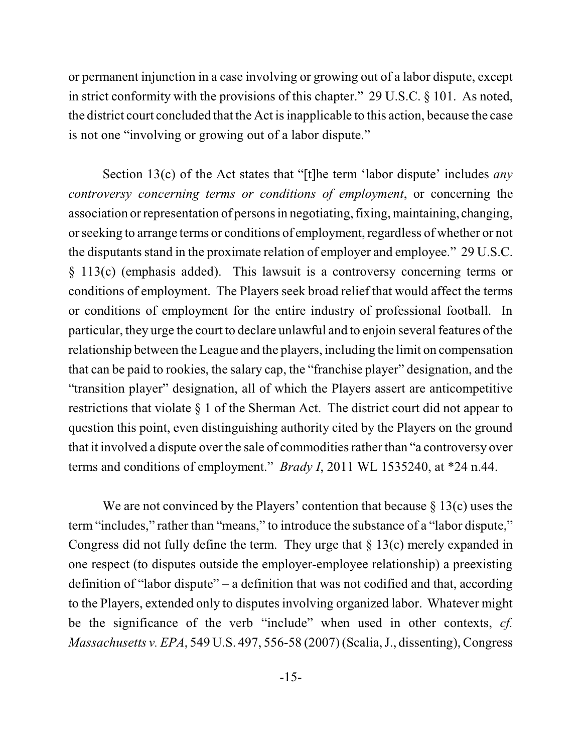or permanent injunction in a case involving or growing out of a labor dispute, except in strict conformity with the provisions of this chapter." 29 U.S.C. § 101. As noted, the district court concluded that the Act isinapplicable to this action, because the case is not one "involving or growing out of a labor dispute."

Section 13(c) of the Act states that "[t]he term 'labor dispute' includes *any controversy concerning terms or conditions of employment*, or concerning the association orrepresentation of persons in negotiating, fixing, maintaining, changing, orseeking to arrange terms or conditions of employment, regardless of whether or not the disputants stand in the proximate relation of employer and employee." 29 U.S.C. § 113(c) (emphasis added). This lawsuit is a controversy concerning terms or conditions of employment. The Players seek broad relief that would affect the terms or conditions of employment for the entire industry of professional football. In particular, they urge the court to declare unlawful and to enjoin several features of the relationship between the League and the players, including the limit on compensation that can be paid to rookies, the salary cap, the "franchise player" designation, and the "transition player" designation, all of which the Players assert are anticompetitive restrictions that violate § 1 of the Sherman Act. The district court did not appear to question this point, even distinguishing authority cited by the Players on the ground that it involved a dispute over the sale of commodities rather than "a controversy over terms and conditions of employment." *Brady I*, 2011 WL 1535240, at \*24 n.44.

We are not convinced by the Players' contention that because  $\S 13(c)$  uses the term "includes," rather than "means," to introduce the substance of a "labor dispute," Congress did not fully define the term. They urge that  $\S 13(c)$  merely expanded in one respect (to disputes outside the employer-employee relationship) a preexisting definition of "labor dispute" – a definition that was not codified and that, according to the Players, extended only to disputes involving organized labor. Whatever might be the significance of the verb "include" when used in other contexts, *cf. Massachusetts v. EPA*, 549 U.S. 497, 556-58 (2007) (Scalia, J., dissenting), Congress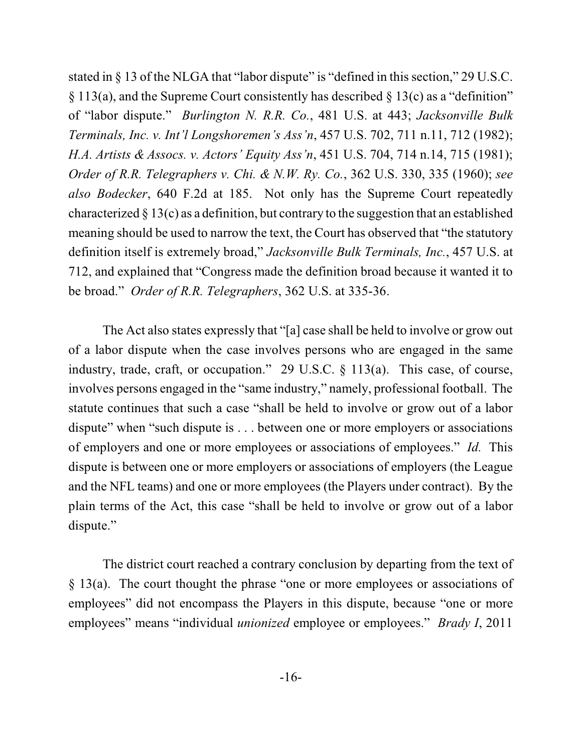stated in  $\S$  13 of the NLGA that "labor dispute" is "defined in this section," 29 U.S.C. § 113(a), and the Supreme Court consistently has described § 13(c) as a "definition" of "labor dispute." *Burlington N. R.R. Co.*, 481 U.S. at 443; *Jacksonville Bulk Terminals, Inc. v. Int'l Longshoremen's Ass'n*, 457 U.S. 702, 711 n.11, 712 (1982); *H.A. Artists & Assocs. v. Actors' Equity Ass'n*, 451 U.S. 704, 714 n.14, 715 (1981); *Order of R.R. Telegraphers v. Chi. & N.W. Ry. Co.*, 362 U.S. 330, 335 (1960); *see also Bodecker*, 640 F.2d at 185. Not only has the Supreme Court repeatedly characterized  $\S 13(c)$  as a definition, but contrary to the suggestion that an established meaning should be used to narrow the text, the Court has observed that "the statutory definition itself is extremely broad," *Jacksonville Bulk Terminals, Inc.*, 457 U.S. at 712, and explained that "Congress made the definition broad because it wanted it to be broad." *Order of R.R. Telegraphers*, 362 U.S. at 335-36.

The Act also states expressly that "[a] case shall be held to involve or grow out of a labor dispute when the case involves persons who are engaged in the same industry, trade, craft, or occupation." 29 U.S.C. § 113(a). This case, of course, involves persons engaged in the "same industry," namely, professional football. The statute continues that such a case "shall be held to involve or grow out of a labor dispute" when "such dispute is . . . between one or more employers or associations of employers and one or more employees or associations of employees." *Id.* This dispute is between one or more employers or associations of employers (the League and the NFL teams) and one or more employees (the Players under contract). By the plain terms of the Act, this case "shall be held to involve or grow out of a labor dispute."

The district court reached a contrary conclusion by departing from the text of § 13(a). The court thought the phrase "one or more employees or associations of employees" did not encompass the Players in this dispute, because "one or more employees" means "individual *unionized* employee or employees." *Brady I*, 2011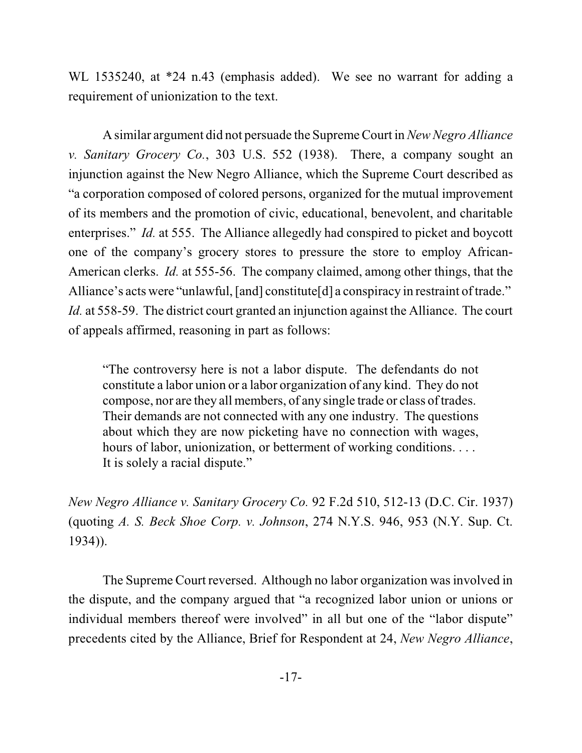WL 1535240, at \*24 n.43 (emphasis added). We see no warrant for adding a requirement of unionization to the text.

A similar argument did not persuade the Supreme Court in*NewNegro Alliance v. Sanitary Grocery Co.*, 303 U.S. 552 (1938). There, a company sought an injunction against the New Negro Alliance, which the Supreme Court described as "a corporation composed of colored persons, organized for the mutual improvement of its members and the promotion of civic, educational, benevolent, and charitable enterprises." *Id.* at 555. The Alliance allegedly had conspired to picket and boycott one of the company's grocery stores to pressure the store to employ African-American clerks. *Id.* at 555-56. The company claimed, among other things, that the Alliance's acts were "unlawful, [and] constitute[d] a conspiracy in restraint of trade." *Id.* at 558-59. The district court granted an injunction against the Alliance. The court of appeals affirmed, reasoning in part as follows:

"The controversy here is not a labor dispute. The defendants do not constitute a labor union or a labor organization of any kind. They do not compose, nor are they all members, of any single trade or class of trades. Their demands are not connected with any one industry. The questions about which they are now picketing have no connection with wages, hours of labor, unionization, or betterment of working conditions. . . . It is solely a racial dispute."

*New Negro Alliance v. Sanitary Grocery Co.* 92 F.2d 510, 512-13 (D.C. Cir. 1937) (quoting *A. S. Beck Shoe Corp. v. Johnson*, 274 N.Y.S. 946, 953 (N.Y. Sup. Ct. 1934)).

The Supreme Court reversed. Although no labor organization was involved in the dispute, and the company argued that "a recognized labor union or unions or individual members thereof were involved" in all but one of the "labor dispute" precedents cited by the Alliance, Brief for Respondent at 24, *New Negro Alliance*,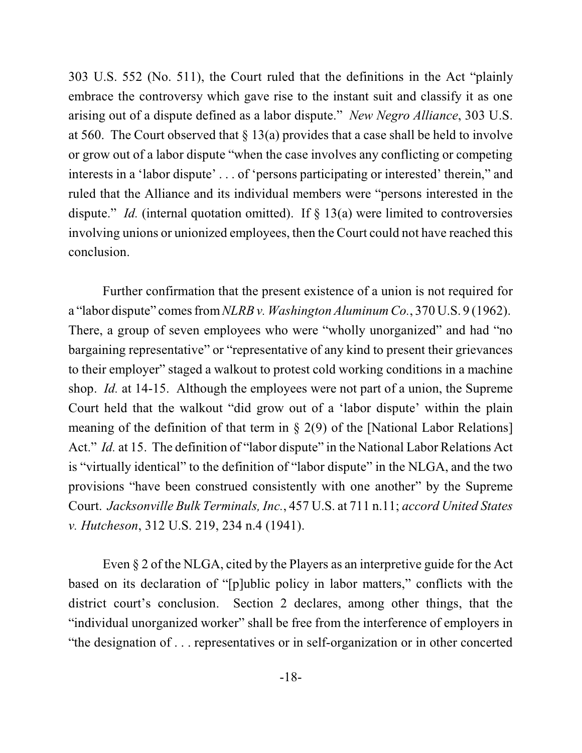303 U.S. 552 (No. 511), the Court ruled that the definitions in the Act "plainly embrace the controversy which gave rise to the instant suit and classify it as one arising out of a dispute defined as a labor dispute." *New Negro Alliance*, 303 U.S. at 560. The Court observed that  $\S 13(a)$  provides that a case shall be held to involve or grow out of a labor dispute "when the case involves any conflicting or competing interests in a 'labor dispute' . . . of 'persons participating or interested' therein," and ruled that the Alliance and its individual members were "persons interested in the dispute." *Id.* (internal quotation omitted). If § 13(a) were limited to controversies involving unions or unionized employees, then the Court could not have reached this conclusion.

Further confirmation that the present existence of a union is not required for a "labor dispute" comesfrom*NLRB v. Washington Aluminum Co.*, 370 U.S. 9 (1962). There, a group of seven employees who were "wholly unorganized" and had "no bargaining representative" or "representative of any kind to present their grievances to their employer" staged a walkout to protest cold working conditions in a machine shop. *Id.* at 14-15. Although the employees were not part of a union, the Supreme Court held that the walkout "did grow out of a 'labor dispute' within the plain meaning of the definition of that term in  $\S$  2(9) of the [National Labor Relations] Act." *Id.* at 15. The definition of "labor dispute" in the National Labor Relations Act is "virtually identical" to the definition of "labor dispute" in the NLGA, and the two provisions "have been construed consistently with one another" by the Supreme Court. *Jacksonville Bulk Terminals, Inc.*, 457 U.S. at 711 n.11; *accord United States v. Hutcheson*, 312 U.S. 219, 234 n.4 (1941).

Even § 2 of the NLGA, cited by the Players as an interpretive guide for the Act based on its declaration of "[p]ublic policy in labor matters," conflicts with the district court's conclusion. Section 2 declares, among other things, that the "individual unorganized worker" shall be free from the interference of employers in "the designation of . . . representatives or in self-organization or in other concerted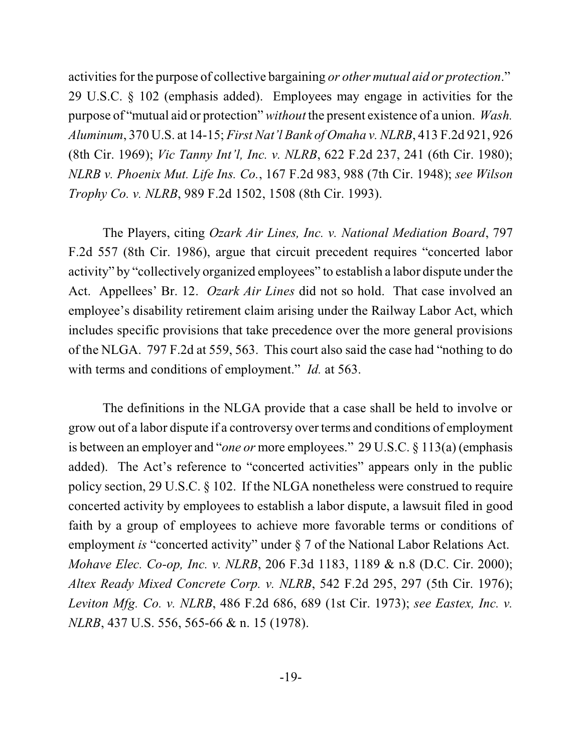activities for the purpose of collective bargaining *or other mutual aid or protection*." 29 U.S.C. § 102 (emphasis added). Employees may engage in activities for the purpose of "mutual aid or protection" *without* the present existence of a union. *Wash. Aluminum*, 370 U.S. at 14-15; *First Nat'l Bank of Omaha v. NLRB*, 413 F.2d 921, 926 (8th Cir. 1969); *Vic Tanny Int'l, Inc. v. NLRB*, 622 F.2d 237, 241 (6th Cir. 1980); *NLRB v. Phoenix Mut. Life Ins. Co.*, 167 F.2d 983, 988 (7th Cir. 1948); *see Wilson Trophy Co. v. NLRB*, 989 F.2d 1502, 1508 (8th Cir. 1993).

The Players, citing *Ozark Air Lines, Inc. v. National Mediation Board*, 797 F.2d 557 (8th Cir. 1986), argue that circuit precedent requires "concerted labor activity" by "collectively organized employees" to establish a labor dispute under the Act. Appellees' Br. 12. *Ozark Air Lines* did not so hold. That case involved an employee's disability retirement claim arising under the Railway Labor Act, which includes specific provisions that take precedence over the more general provisions of the NLGA. 797 F.2d at 559, 563. This court also said the case had "nothing to do with terms and conditions of employment." *Id.* at 563.

The definitions in the NLGA provide that a case shall be held to involve or grow out of a labor dispute if a controversy over terms and conditions of employment is between an employer and "*one or* more employees." 29 U.S.C. § 113(a) (emphasis added). The Act's reference to "concerted activities" appears only in the public policy section, 29 U.S.C. § 102. If the NLGA nonetheless were construed to require concerted activity by employees to establish a labor dispute, a lawsuit filed in good faith by a group of employees to achieve more favorable terms or conditions of employment *is* "concerted activity" under § 7 of the National Labor Relations Act. *Mohave Elec. Co-op, Inc. v. NLRB*, 206 F.3d 1183, 1189 & n.8 (D.C. Cir. 2000); *Altex Ready Mixed Concrete Corp. v. NLRB*, 542 F.2d 295, 297 (5th Cir. 1976); *Leviton Mfg. Co. v. NLRB*, 486 F.2d 686, 689 (1st Cir. 1973); *see Eastex, Inc. v. NLRB*, 437 U.S. 556, 565-66 & n. 15 (1978).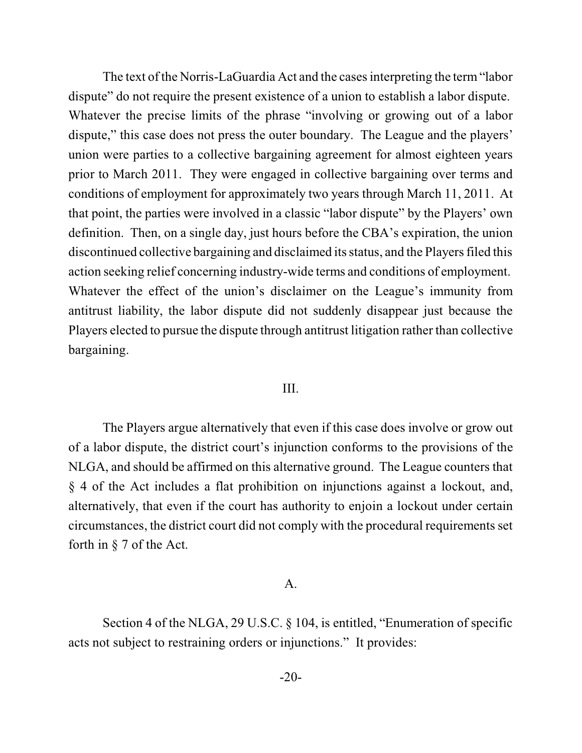The text of the Norris-LaGuardia Act and the cases interpreting the term "labor" dispute" do not require the present existence of a union to establish a labor dispute. Whatever the precise limits of the phrase "involving or growing out of a labor dispute," this case does not press the outer boundary. The League and the players' union were parties to a collective bargaining agreement for almost eighteen years prior to March 2011. They were engaged in collective bargaining over terms and conditions of employment for approximately two years through March 11, 2011. At that point, the parties were involved in a classic "labor dispute" by the Players' own definition. Then, on a single day, just hours before the CBA's expiration, the union discontinued collective bargaining and disclaimed its status, and the Players filed this action seeking relief concerning industry-wide terms and conditions of employment. Whatever the effect of the union's disclaimer on the League's immunity from antitrust liability, the labor dispute did not suddenly disappear just because the Players elected to pursue the dispute through antitrust litigation rather than collective bargaining.

#### III.

The Players argue alternatively that even if this case does involve or grow out of a labor dispute, the district court's injunction conforms to the provisions of the NLGA, and should be affirmed on this alternative ground. The League counters that § 4 of the Act includes a flat prohibition on injunctions against a lockout, and, alternatively, that even if the court has authority to enjoin a lockout under certain circumstances, the district court did not comply with the procedural requirements set forth in § 7 of the Act.

#### A.

Section 4 of the NLGA, 29 U.S.C. § 104, is entitled, "Enumeration of specific acts not subject to restraining orders or injunctions." It provides: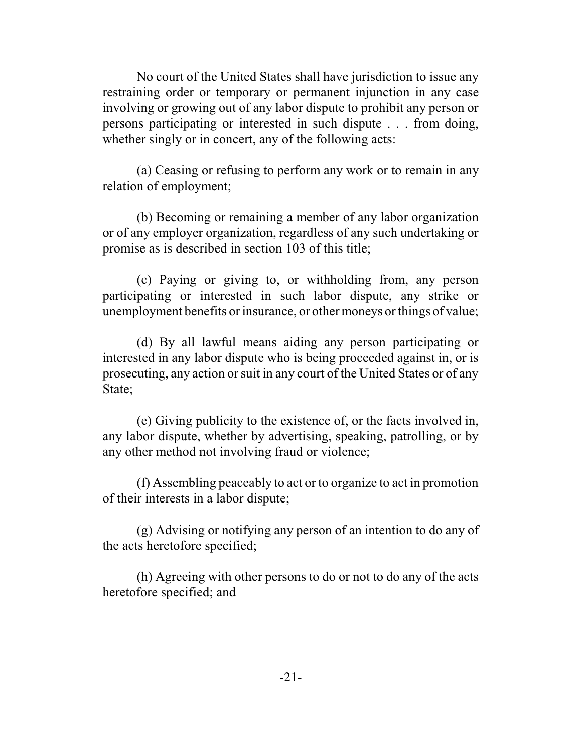No court of the United States shall have jurisdiction to issue any restraining order or temporary or permanent injunction in any case involving or growing out of any labor dispute to prohibit any person or persons participating or interested in such dispute . . . from doing, whether singly or in concert, any of the following acts:

(a) Ceasing or refusing to perform any work or to remain in any relation of employment;

(b) Becoming or remaining a member of any labor organization or of any employer organization, regardless of any such undertaking or promise as is described in section 103 of this title;

(c) Paying or giving to, or withholding from, any person participating or interested in such labor dispute, any strike or unemployment benefits or insurance, or other moneys or things of value;

(d) By all lawful means aiding any person participating or interested in any labor dispute who is being proceeded against in, or is prosecuting, any action orsuit in any court of the United States or of any State;

(e) Giving publicity to the existence of, or the facts involved in, any labor dispute, whether by advertising, speaking, patrolling, or by any other method not involving fraud or violence;

(f) Assembling peaceably to act or to organize to act in promotion of their interests in a labor dispute;

(g) Advising or notifying any person of an intention to do any of the acts heretofore specified;

(h) Agreeing with other persons to do or not to do any of the acts heretofore specified; and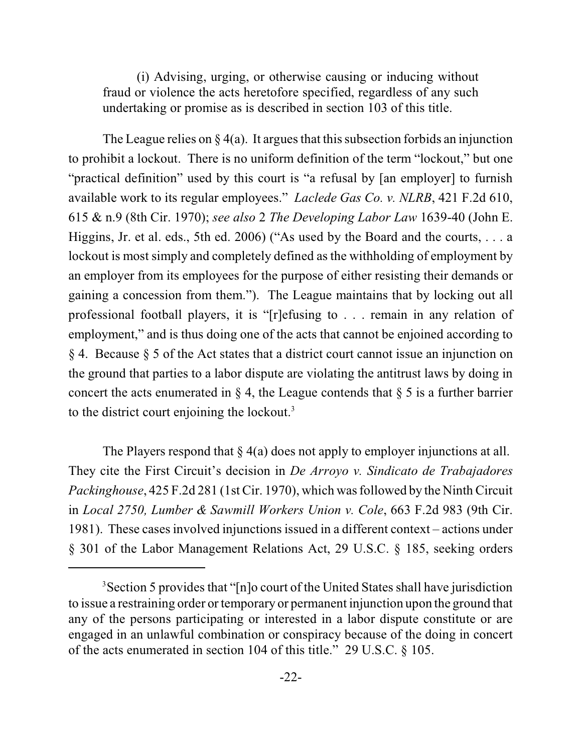(i) Advising, urging, or otherwise causing or inducing without fraud or violence the acts heretofore specified, regardless of any such undertaking or promise as is described in section 103 of this title.

The League relies on  $\S 4(a)$ . It argues that this subsection forbids an injunction to prohibit a lockout. There is no uniform definition of the term "lockout," but one "practical definition" used by this court is "a refusal by [an employer] to furnish available work to its regular employees." *Laclede Gas Co. v. NLRB*, 421 F.2d 610, 615 & n.9 (8th Cir. 1970); *see also* 2 *The Developing Labor Law* 1639-40 (John E. Higgins, Jr. et al. eds., 5th ed. 2006) ("As used by the Board and the courts,  $\dots$  a lockout is most simply and completely defined as the withholding of employment by an employer from its employees for the purpose of either resisting their demands or gaining a concession from them."). The League maintains that by locking out all professional football players, it is "[r]efusing to . . . remain in any relation of employment," and is thus doing one of the acts that cannot be enjoined according to § 4. Because § 5 of the Act states that a district court cannot issue an injunction on the ground that parties to a labor dispute are violating the antitrust laws by doing in concert the acts enumerated in  $\S 4$ , the League contends that  $\S 5$  is a further barrier to the district court enjoining the lockout.<sup>3</sup>

The Players respond that  $\S_4(a)$  does not apply to employer injunctions at all. They cite the First Circuit's decision in *De Arroyo v. Sindicato de Trabajadores Packinghouse*, 425 F.2d 281 (1st Cir. 1970), which wasfollowed by the Ninth Circuit in *Local 2750, Lumber & Sawmill Workers Union v. Cole*, 663 F.2d 983 (9th Cir. 1981). These cases involved injunctions issued in a different context – actions under § 301 of the Labor Management Relations Act, 29 U.S.C. § 185, seeking orders

<sup>&</sup>lt;sup>3</sup> Section 5 provides that "[n]o court of the United States shall have jurisdiction to issue a restraining order or temporary or permanent injunction upon the ground that any of the persons participating or interested in a labor dispute constitute or are engaged in an unlawful combination or conspiracy because of the doing in concert of the acts enumerated in section 104 of this title." 29 U.S.C. § 105.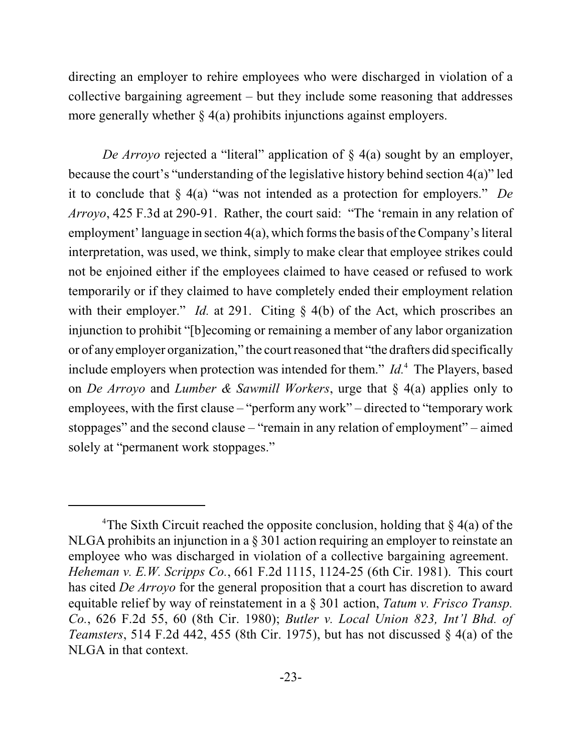directing an employer to rehire employees who were discharged in violation of a collective bargaining agreement – but they include some reasoning that addresses more generally whether  $\S 4(a)$  prohibits injunctions against employers.

*De Arroyo* rejected a "literal" application of § 4(a) sought by an employer, because the court's "understanding of the legislative history behind section 4(a)" led it to conclude that § 4(a) "was not intended as a protection for employers." *De Arroyo*, 425 F.3d at 290-91. Rather, the court said: "The 'remain in any relation of employment' language in section 4(a), which forms the basis ofthe Company's literal interpretation, was used, we think, simply to make clear that employee strikes could not be enjoined either if the employees claimed to have ceased or refused to work temporarily or if they claimed to have completely ended their employment relation with their employer." *Id.* at 291. Citing § 4(b) of the Act, which proscribes an injunction to prohibit "[b]ecoming or remaining a member of any labor organization or of any employer organization," the court reasoned that "the drafters did specifically include employers when protection was intended for them." *Id*.<sup>4</sup> The Players, based on *De Arroyo* and *Lumber & Sawmill Workers*, urge that § 4(a) applies only to employees, with the first clause – "perform any work" – directed to "temporary work stoppages" and the second clause – "remain in any relation of employment" – aimed solely at "permanent work stoppages."

<sup>&</sup>lt;sup>4</sup>The Sixth Circuit reached the opposite conclusion, holding that  $\S$  4(a) of the NLGA prohibits an injunction in a § 301 action requiring an employer to reinstate an employee who was discharged in violation of a collective bargaining agreement. *Heheman v. E.W. Scripps Co.*, 661 F.2d 1115, 1124-25 (6th Cir. 1981). This court has cited *De Arroyo* for the general proposition that a court has discretion to award equitable relief by way of reinstatement in a § 301 action, *Tatum v. Frisco Transp. Co.*, 626 F.2d 55, 60 (8th Cir. 1980); *Butler v. Local Union 823, Int'l Bhd. of Teamsters*, 514 F.2d 442, 455 (8th Cir. 1975), but has not discussed § 4(a) of the NLGA in that context.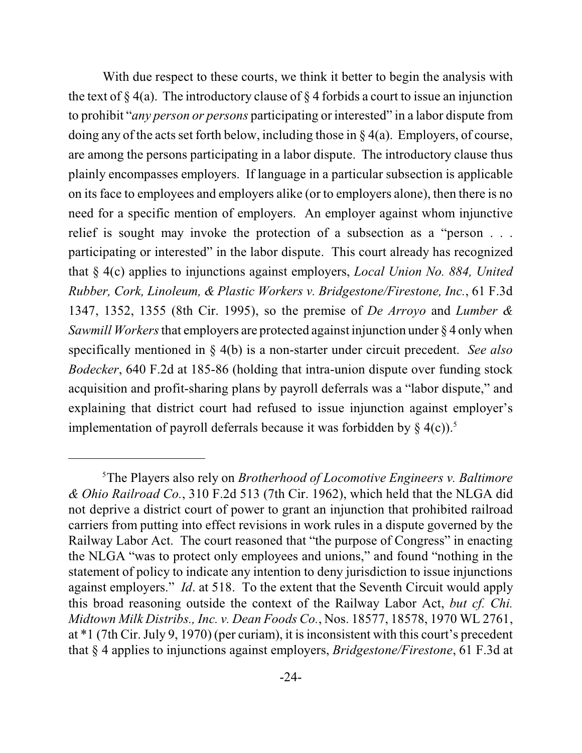With due respect to these courts, we think it better to begin the analysis with the text of  $\S 4(a)$ . The introductory clause of  $\S 4$  forbids a court to issue an injunction to prohibit "*any person or persons* participating or interested" in a labor dispute from doing any of the acts set forth below, including those in § 4(a). Employers, of course, are among the persons participating in a labor dispute. The introductory clause thus plainly encompasses employers. If language in a particular subsection is applicable on its face to employees and employers alike (or to employers alone), then there is no need for a specific mention of employers. An employer against whom injunctive relief is sought may invoke the protection of a subsection as a "person . . . participating or interested" in the labor dispute. This court already has recognized that § 4(c) applies to injunctions against employers, *Local Union No. 884, United Rubber, Cork, Linoleum, & Plastic Workers v. Bridgestone/Firestone, Inc.*, 61 F.3d 1347, 1352, 1355 (8th Cir. 1995), so the premise of *De Arroyo* and *Lumber & Sawmill Workers*that employers are protected against injunction under § 4 only when specifically mentioned in § 4(b) is a non-starter under circuit precedent. *See also Bodecker*, 640 F.2d at 185-86 (holding that intra-union dispute over funding stock acquisition and profit-sharing plans by payroll deferrals was a "labor dispute," and explaining that district court had refused to issue injunction against employer's implementation of payroll deferrals because it was forbidden by  $\S$  4(c)).<sup>5</sup>

The Players also rely on *Brotherhood of Locomotive Engineers v. Baltimore* 5 *& Ohio Railroad Co.*, 310 F.2d 513 (7th Cir. 1962), which held that the NLGA did not deprive a district court of power to grant an injunction that prohibited railroad carriers from putting into effect revisions in work rules in a dispute governed by the Railway Labor Act. The court reasoned that "the purpose of Congress" in enacting the NLGA "was to protect only employees and unions," and found "nothing in the statement of policy to indicate any intention to deny jurisdiction to issue injunctions against employers." *Id*. at 518. To the extent that the Seventh Circuit would apply this broad reasoning outside the context of the Railway Labor Act, *but cf. Chi. Midtown Milk Distribs., Inc. v. Dean Foods Co.*, Nos. 18577, 18578, 1970 WL 2761, at \*1 (7th Cir. July 9, 1970) (per curiam), it isinconsistent with this court's precedent that § 4 applies to injunctions against employers, *Bridgestone/Firestone*, 61 F.3d at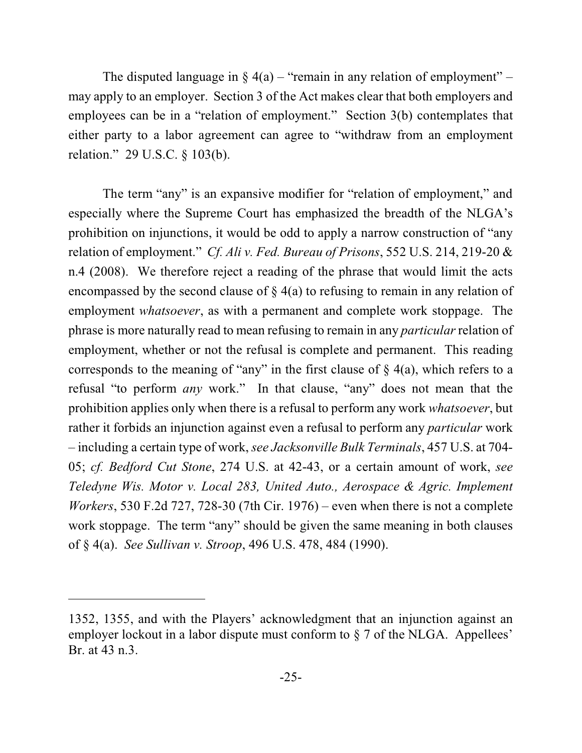The disputed language in  $\S_4(a)$  – "remain in any relation of employment" – may apply to an employer. Section 3 of the Act makes clear that both employers and employees can be in a "relation of employment." Section 3(b) contemplates that either party to a labor agreement can agree to "withdraw from an employment relation." 29 U.S.C. § 103(b).

The term "any" is an expansive modifier for "relation of employment," and especially where the Supreme Court has emphasized the breadth of the NLGA's prohibition on injunctions, it would be odd to apply a narrow construction of "any relation of employment." *Cf. Ali v. Fed. Bureau of Prisons*, 552 U.S. 214, 219-20 & n.4 (2008). We therefore reject a reading of the phrase that would limit the acts encompassed by the second clause of § 4(a) to refusing to remain in any relation of employment *whatsoever*, as with a permanent and complete work stoppage. The phrase is more naturally read to mean refusing to remain in any *particular* relation of employment, whether or not the refusal is complete and permanent. This reading corresponds to the meaning of "any" in the first clause of  $\S$  4(a), which refers to a refusal "to perform *any* work." In that clause, "any" does not mean that the prohibition applies only when there is a refusal to perform any work *whatsoever*, but rather it forbids an injunction against even a refusal to perform any *particular* work – including a certain type of work, *see Jacksonville Bulk Terminals*, 457 U.S. at 704- 05; *cf. Bedford Cut Stone*, 274 U.S. at 42-43, or a certain amount of work, *see Teledyne Wis. Motor v. Local 283, United Auto., Aerospace & Agric. Implement Workers*, 530 F.2d 727, 728-30 (7th Cir. 1976) – even when there is not a complete work stoppage. The term "any" should be given the same meaning in both clauses of § 4(a). *See Sullivan v. Stroop*, 496 U.S. 478, 484 (1990).

<sup>1352, 1355,</sup> and with the Players' acknowledgment that an injunction against an employer lockout in a labor dispute must conform to  $\S$  7 of the NLGA. Appellees' Br. at 43 n.3.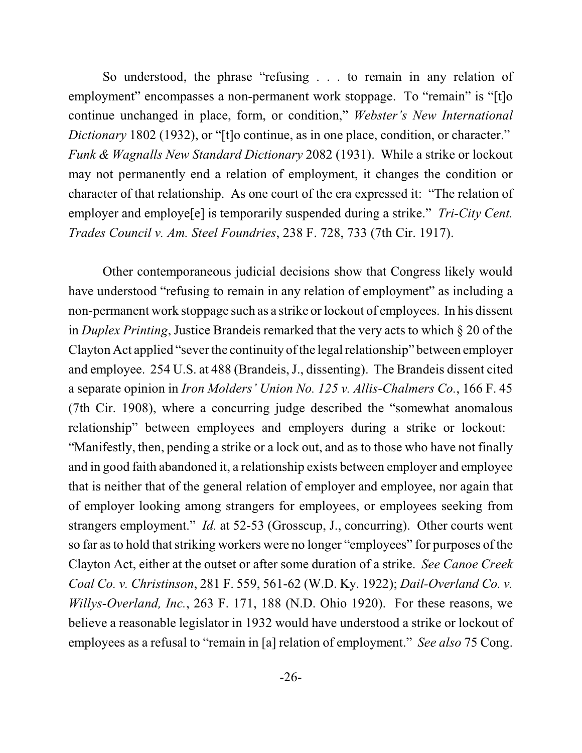So understood, the phrase "refusing . . . to remain in any relation of employment" encompasses a non-permanent work stoppage. To "remain" is "[t]o continue unchanged in place, form, or condition," *Webster's New International Dictionary* 1802 (1932), or "[t]o continue, as in one place, condition, or character." *Funk & Wagnalls New Standard Dictionary* 2082 (1931). While a strike or lockout may not permanently end a relation of employment, it changes the condition or character of that relationship. As one court of the era expressed it: "The relation of employer and employe[e] is temporarily suspended during a strike." *Tri-City Cent. Trades Council v. Am. Steel Foundries*, 238 F. 728, 733 (7th Cir. 1917).

Other contemporaneous judicial decisions show that Congress likely would have understood "refusing to remain in any relation of employment" as including a non-permanent work stoppage such as a strike or lockout of employees. In his dissent in *Duplex Printing*, Justice Brandeis remarked that the very acts to which § 20 of the Clayton Act applied "sever the continuity ofthe legal relationship" between employer and employee. 254 U.S. at 488 (Brandeis, J., dissenting). The Brandeis dissent cited a separate opinion in *Iron Molders' Union No. 125 v. Allis-Chalmers Co.*, 166 F. 45 (7th Cir. 1908), where a concurring judge described the "somewhat anomalous relationship" between employees and employers during a strike or lockout: "Manifestly, then, pending a strike or a lock out, and as to those who have not finally and in good faith abandoned it, a relationship exists between employer and employee that is neither that of the general relation of employer and employee, nor again that of employer looking among strangers for employees, or employees seeking from strangers employment." *Id.* at 52-53 (Grosscup, J., concurring). Other courts went so far as to hold that striking workers were no longer "employees" for purposes of the Clayton Act, either at the outset or after some duration of a strike. *See Canoe Creek Coal Co. v. Christinson*, 281 F. 559, 561-62 (W.D. Ky. 1922); *Dail-Overland Co. v. Willys-Overland, Inc.*, 263 F. 171, 188 (N.D. Ohio 1920). For these reasons, we believe a reasonable legislator in 1932 would have understood a strike or lockout of employees as a refusal to "remain in [a] relation of employment." *See also* 75 Cong.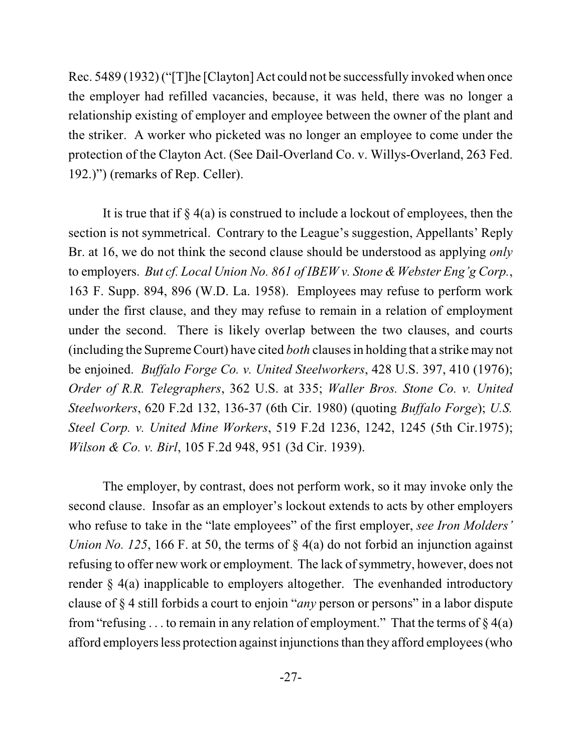Rec. 5489 (1932)("[T]he [Clayton] Act could not be successfully invoked when once the employer had refilled vacancies, because, it was held, there was no longer a relationship existing of employer and employee between the owner of the plant and the striker. A worker who picketed was no longer an employee to come under the protection of the Clayton Act. (See Dail-Overland Co. v. Willys-Overland, 263 Fed. 192.)") (remarks of Rep. Celler).

It is true that if  $\S 4(a)$  is construed to include a lockout of employees, then the section is not symmetrical. Contrary to the League's suggestion, Appellants' Reply Br. at 16, we do not think the second clause should be understood as applying *only* to employers. *But cf. Local Union No. 861 of IBEW v. Stone & Webster Eng'g Corp.*, 163 F. Supp. 894, 896 (W.D. La. 1958). Employees may refuse to perform work under the first clause, and they may refuse to remain in a relation of employment under the second. There is likely overlap between the two clauses, and courts (including the Supreme Court) have cited *both* clauses in holding that a strike may not be enjoined. *Buffalo Forge Co. v. United Steelworkers*, 428 U.S. 397, 410 (1976); *Order of R.R. Telegraphers*, 362 U.S. at 335; *Waller Bros. Stone Co. v. United Steelworkers*, 620 F.2d 132, 136-37 (6th Cir. 1980) (quoting *Buffalo Forge*); *U.S. Steel Corp. v. United Mine Workers*, 519 F.2d 1236, 1242, 1245 (5th Cir.1975); *Wilson & Co. v. Birl*, 105 F.2d 948, 951 (3d Cir. 1939).

The employer, by contrast, does not perform work, so it may invoke only the second clause. Insofar as an employer's lockout extends to acts by other employers who refuse to take in the "late employees" of the first employer, *see Iron Molders' Union No. 125*, 166 F. at 50, the terms of § 4(a) do not forbid an injunction against refusing to offer new work or employment. The lack of symmetry, however, does not render § 4(a) inapplicable to employers altogether. The evenhanded introductory clause of § 4 still forbids a court to enjoin "*any* person or persons" in a labor dispute from "refusing . . . to remain in any relation of employment." That the terms of  $\S 4(a)$ afford employers less protection against injunctionsthan they afford employees (who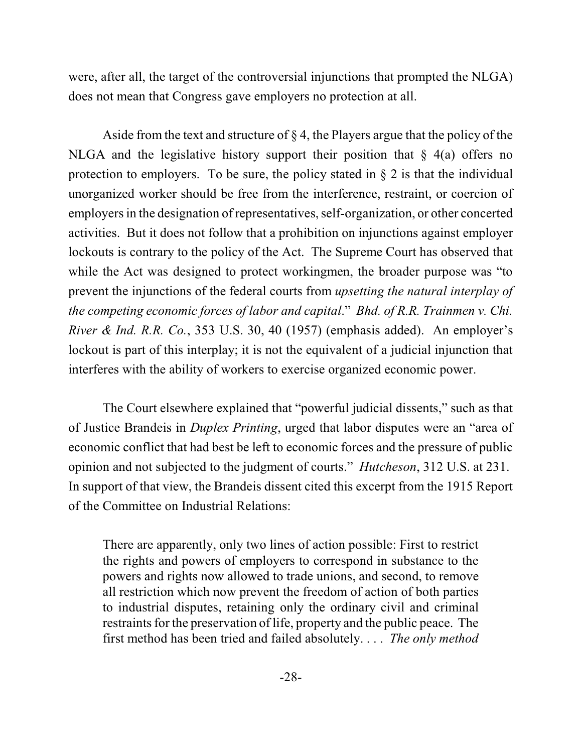were, after all, the target of the controversial injunctions that prompted the NLGA) does not mean that Congress gave employers no protection at all.

Aside from the text and structure of § 4, the Players argue that the policy of the NLGA and the legislative history support their position that  $\S$  4(a) offers no protection to employers. To be sure, the policy stated in § 2 is that the individual unorganized worker should be free from the interference, restraint, or coercion of employers in the designation of representatives, self-organization, or other concerted activities. But it does not follow that a prohibition on injunctions against employer lockouts is contrary to the policy of the Act. The Supreme Court has observed that while the Act was designed to protect workingmen, the broader purpose was "to prevent the injunctions of the federal courts from *upsetting the natural interplay of the competing economic forces of labor and capital*." *Bhd. of R.R. Trainmen v. Chi. River & Ind. R.R. Co.*, 353 U.S. 30, 40 (1957) (emphasis added). An employer's lockout is part of this interplay; it is not the equivalent of a judicial injunction that interferes with the ability of workers to exercise organized economic power.

The Court elsewhere explained that "powerful judicial dissents," such as that of Justice Brandeis in *Duplex Printing*, urged that labor disputes were an "area of economic conflict that had best be left to economic forces and the pressure of public opinion and not subjected to the judgment of courts." *Hutcheson*, 312 U.S. at 231. In support of that view, the Brandeis dissent cited this excerpt from the 1915 Report of the Committee on Industrial Relations:

There are apparently, only two lines of action possible: First to restrict the rights and powers of employers to correspond in substance to the powers and rights now allowed to trade unions, and second, to remove all restriction which now prevent the freedom of action of both parties to industrial disputes, retaining only the ordinary civil and criminal restraints for the preservation of life, property and the public peace. The first method has been tried and failed absolutely. . . . *The only method*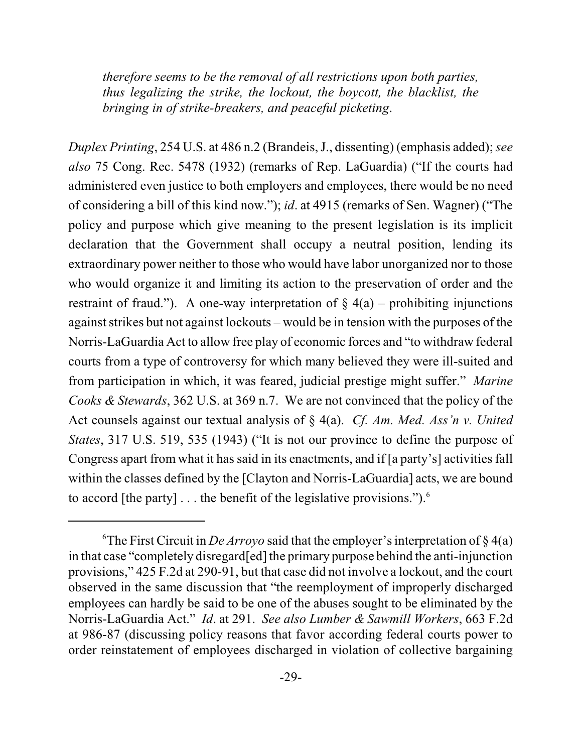*therefore seems to be the removal of all restrictions upon both parties, thus legalizing the strike, the lockout, the boycott, the blacklist, the bringing in of strike-breakers, and peaceful picketing*.

*Duplex Printing*, 254 U.S. at 486 n.2 (Brandeis, J., dissenting) (emphasis added); *see also* 75 Cong. Rec. 5478 (1932) (remarks of Rep. LaGuardia) ("If the courts had administered even justice to both employers and employees, there would be no need of considering a bill of this kind now."); *id*. at 4915 (remarks of Sen. Wagner) ("The policy and purpose which give meaning to the present legislation is its implicit declaration that the Government shall occupy a neutral position, lending its extraordinary power neither to those who would have labor unorganized nor to those who would organize it and limiting its action to the preservation of order and the restraint of fraud."). A one-way interpretation of  $\S 4(a)$  – prohibiting injunctions against strikes but not against lockouts – would be in tension with the purposes of the Norris-LaGuardia Act to allow free play of economic forces and "to withdraw federal courts from a type of controversy for which many believed they were ill-suited and from participation in which, it was feared, judicial prestige might suffer." *Marine Cooks & Stewards*, 362 U.S. at 369 n.7. We are not convinced that the policy of the Act counsels against our textual analysis of § 4(a). *Cf. Am. Med. Ass'n v. United States*, 317 U.S. 519, 535 (1943) ("It is not our province to define the purpose of Congress apart from what it has said in its enactments, and if [a party's] activities fall within the classes defined by the [Clayton and Norris-LaGuardia] acts, we are bound to accord [the party]  $\dots$  the benefit of the legislative provisions.").<sup>6</sup>

<sup>&</sup>lt;sup>6</sup>The First Circuit in *De Arroyo* said that the employer's interpretation of  $\S 4(a)$ in that case "completely disregard[ed] the primary purpose behind the anti-injunction provisions," 425 F.2d at 290-91, but that case did not involve a lockout, and the court observed in the same discussion that "the reemployment of improperly discharged employees can hardly be said to be one of the abuses sought to be eliminated by the Norris-LaGuardia Act." *Id*. at 291. *See also Lumber & Sawmill Workers*, 663 F.2d at 986-87 (discussing policy reasons that favor according federal courts power to order reinstatement of employees discharged in violation of collective bargaining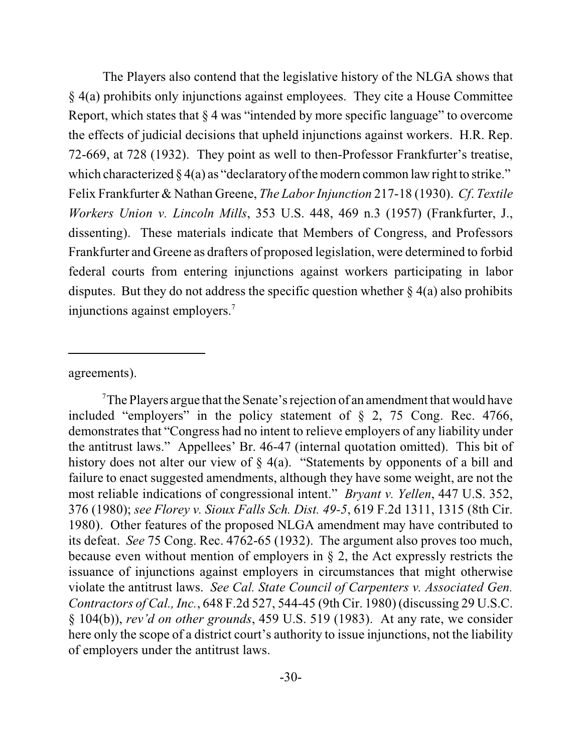The Players also contend that the legislative history of the NLGA shows that § 4(a) prohibits only injunctions against employees. They cite a House Committee Report, which states that § 4 was "intended by more specific language" to overcome the effects of judicial decisions that upheld injunctions against workers. H.R. Rep. 72-669, at 728 (1932). They point as well to then-Professor Frankfurter's treatise, which characterized  $\S 4(a)$  as "declaratory of the modern common law right to strike." Felix Frankfurter & Nathan Greene, *The Labor Injunction* 217-18 (1930). *Cf*. *Textile Workers Union v. Lincoln Mills*, 353 U.S. 448, 469 n.3 (1957) (Frankfurter, J., dissenting). These materials indicate that Members of Congress, and Professors Frankfurter and Greene as drafters of proposed legislation, were determined to forbid federal courts from entering injunctions against workers participating in labor disputes. But they do not address the specific question whether  $\S 4(a)$  also prohibits injunctions against employers.<sup>7</sup>

agreements).

 $T$ The Players argue that the Senate's rejection of an amendment that would have included "employers" in the policy statement of § 2, 75 Cong. Rec. 4766, demonstrates that "Congress had no intent to relieve employers of any liability under the antitrust laws." Appellees' Br. 46-47 (internal quotation omitted). This bit of history does not alter our view of § 4(a). "Statements by opponents of a bill and failure to enact suggested amendments, although they have some weight, are not the most reliable indications of congressional intent." *Bryant v. Yellen*, 447 U.S. 352, 376 (1980); *see Florey v. Sioux Falls Sch. Dist. 49-5*, 619 F.2d 1311, 1315 (8th Cir. 1980). Other features of the proposed NLGA amendment may have contributed to its defeat. *See* 75 Cong. Rec. 4762-65 (1932). The argument also proves too much, because even without mention of employers in § 2, the Act expressly restricts the issuance of injunctions against employers in circumstances that might otherwise violate the antitrust laws. *See Cal. State Council of Carpenters v. Associated Gen. Contractors of Cal., Inc.*, 648 F.2d 527, 544-45 (9th Cir. 1980) (discussing 29 U.S.C. § 104(b)), *rev'd on other grounds*, 459 U.S. 519 (1983). At any rate, we consider here only the scope of a district court's authority to issue injunctions, not the liability of employers under the antitrust laws.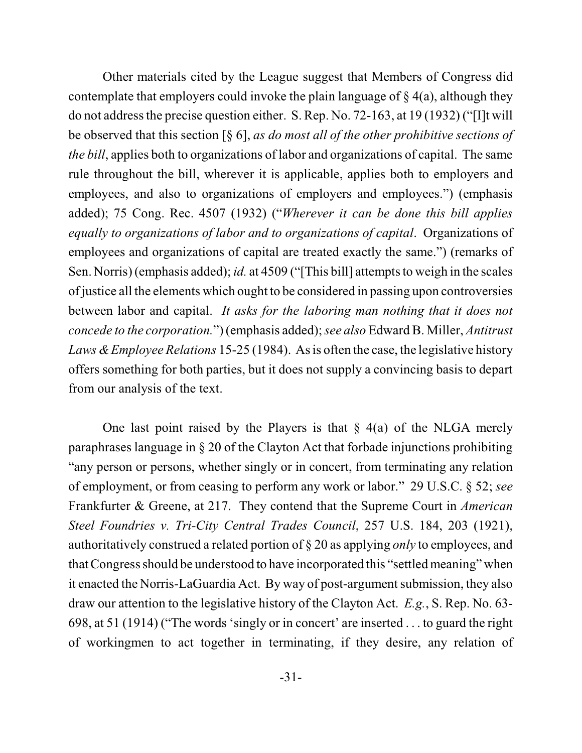Other materials cited by the League suggest that Members of Congress did contemplate that employers could invoke the plain language of  $\S 4(a)$ , although they do not address the precise question either. S. Rep. No. 72-163, at 19 (1932) ("[I]t will be observed that this section [§ 6], *as do most all of the other prohibitive sections of the bill*, applies both to organizations of labor and organizations of capital. The same rule throughout the bill, wherever it is applicable, applies both to employers and employees, and also to organizations of employers and employees.") (emphasis added); 75 Cong. Rec. 4507 (1932) ("*Wherever it can be done this bill applies equally to organizations of labor and to organizations of capital*. Organizations of employees and organizations of capital are treated exactly the same.") (remarks of Sen. Norris) (emphasis added); *id.* at 4509 ("[This bill] attempts to weigh in the scales ofjustice all the elements which ought to be considered in passing upon controversies between labor and capital. *It asks for the laboring man nothing that it does not concede to the corporation.*") (emphasis added); *see also* Edward B. Miller, *Antitrust Laws &Employee Relations* 15-25 (1984). As is often the case, the legislative history offers something for both parties, but it does not supply a convincing basis to depart from our analysis of the text.

One last point raised by the Players is that  $\S$  4(a) of the NLGA merely paraphrases language in § 20 of the Clayton Act that forbade injunctions prohibiting "any person or persons, whether singly or in concert, from terminating any relation of employment, or from ceasing to perform any work or labor." 29 U.S.C. § 52; *see* Frankfurter & Greene, at 217. They contend that the Supreme Court in *American Steel Foundries v. Tri-City Central Trades Council*, 257 U.S. 184, 203 (1921), authoritatively construed a related portion of § 20 as applying *only* to employees, and thatCongress should be understood to have incorporated this "settled meaning" when it enacted the Norris-LaGuardia Act. By way of post-argument submission, they also draw our attention to the legislative history of the Clayton Act. *E.g.*, S. Rep. No. 63- 698, at 51 (1914) ("The words 'singly or in concert' are inserted . . . to guard the right of workingmen to act together in terminating, if they desire, any relation of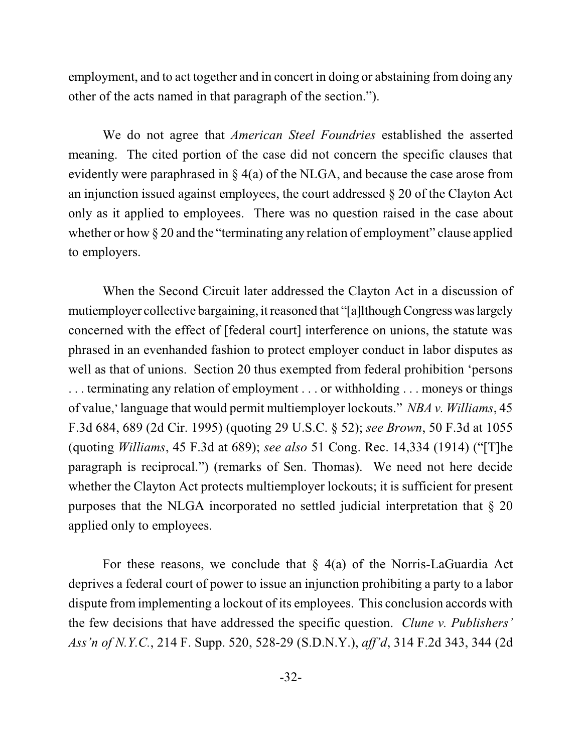employment, and to act together and in concert in doing or abstaining from doing any other of the acts named in that paragraph of the section.").

We do not agree that *American Steel Foundries* established the asserted meaning. The cited portion of the case did not concern the specific clauses that evidently were paraphrased in § 4(a) of the NLGA, and because the case arose from an injunction issued against employees, the court addressed § 20 of the Clayton Act only as it applied to employees. There was no question raised in the case about whether or how § 20 and the "terminating any relation of employment" clause applied to employers.

When the Second Circuit later addressed the Clayton Act in a discussion of mutiemployer collective bargaining, it reasoned that "[a]lthough Congress was largely concerned with the effect of [federal court] interference on unions, the statute was phrased in an evenhanded fashion to protect employer conduct in labor disputes as well as that of unions. Section 20 thus exempted from federal prohibition 'persons . . . terminating any relation of employment . . . or withholding . . . moneys or things of value,' language that would permit multiemployer lockouts." *NBA v. Williams*, 45 F.3d 684, 689 (2d Cir. 1995) (quoting 29 U.S.C. § 52); *see Brown*, 50 F.3d at 1055 (quoting *Williams*, 45 F.3d at 689); *see also* 51 Cong. Rec. 14,334 (1914) ("[T]he paragraph is reciprocal.") (remarks of Sen. Thomas). We need not here decide whether the Clayton Act protects multiemployer lockouts; it is sufficient for present purposes that the NLGA incorporated no settled judicial interpretation that § 20 applied only to employees.

For these reasons, we conclude that  $\S$  4(a) of the Norris-LaGuardia Act deprives a federal court of power to issue an injunction prohibiting a party to a labor dispute from implementing a lockout of its employees. This conclusion accords with the few decisions that have addressed the specific question. *Clune v. Publishers' Ass'n of N.Y.C.*, 214 F. Supp. 520, 528-29 (S.D.N.Y.), *aff'd*, 314 F.2d 343, 344 (2d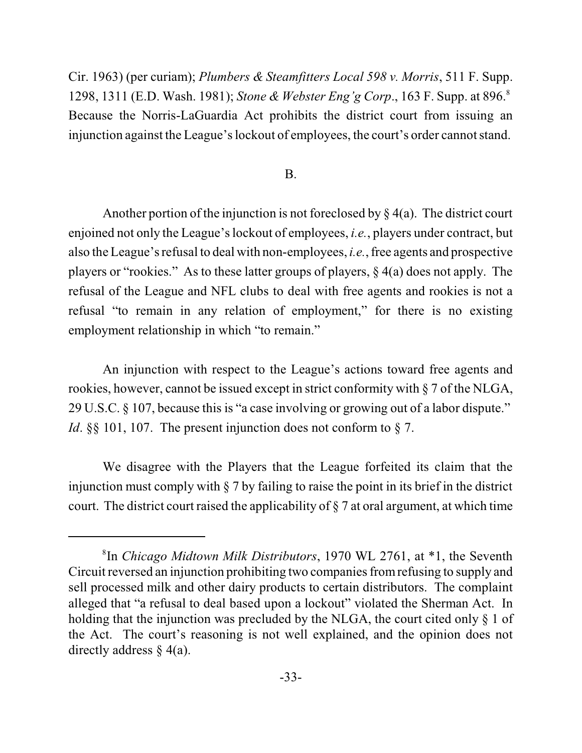Cir. 1963) (per curiam); *Plumbers & Steamfitters Local 598 v. Morris*, 511 F. Supp. 1298, 1311 (E.D. Wash. 1981); *Stone & Webster Eng'g Corp*., 163 F. Supp. at 896.<sup>8</sup> Because the Norris-LaGuardia Act prohibits the district court from issuing an injunction against the League's lockout of employees, the court's order cannot stand.

## B.

Another portion of the injunction is not foreclosed by  $\S 4(a)$ . The district court enjoined not only the League's lockout of employees, *i.e.*, players under contract, but also the League's refusal to deal with non-employees, *i.e.*, free agents and prospective players or "rookies." As to these latter groups of players, § 4(a) does not apply. The refusal of the League and NFL clubs to deal with free agents and rookies is not a refusal "to remain in any relation of employment," for there is no existing employment relationship in which "to remain."

An injunction with respect to the League's actions toward free agents and rookies, however, cannot be issued except in strict conformity with § 7 of the NLGA, 29 U.S.C. § 107, because this is "a case involving or growing out of a labor dispute." *Id.* §§ 101, 107. The present injunction does not conform to § 7.

We disagree with the Players that the League forfeited its claim that the injunction must comply with  $\S 7$  by failing to raise the point in its brief in the district court. The district court raised the applicability of § 7 at oral argument, at which time

<sup>&</sup>lt;sup>8</sup>In *Chicago Midtown Milk Distributors*, 1970 WL 2761, at \*1, the Seventh Circuit reversed an injunction prohibiting two companies from refusing to supply and sell processed milk and other dairy products to certain distributors. The complaint alleged that "a refusal to deal based upon a lockout" violated the Sherman Act. In holding that the injunction was precluded by the NLGA, the court cited only  $\S 1$  of the Act. The court's reasoning is not well explained, and the opinion does not directly address § 4(a).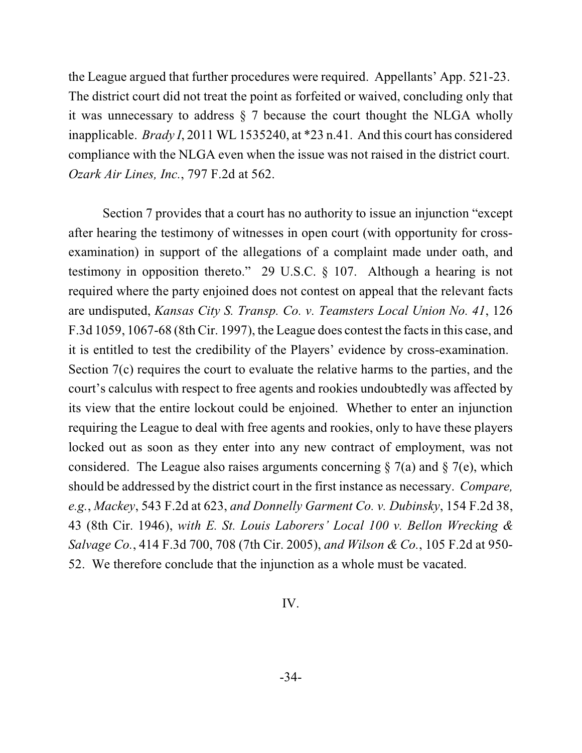the League argued that further procedures were required. Appellants' App. 521-23. The district court did not treat the point as forfeited or waived, concluding only that it was unnecessary to address § 7 because the court thought the NLGA wholly inapplicable. *Brady I*, 2011 WL 1535240, at \*23 n.41. And this court has considered compliance with the NLGA even when the issue was not raised in the district court. *Ozark Air Lines, Inc.*, 797 F.2d at 562.

Section 7 provides that a court has no authority to issue an injunction "except after hearing the testimony of witnesses in open court (with opportunity for crossexamination) in support of the allegations of a complaint made under oath, and testimony in opposition thereto." 29 U.S.C. § 107. Although a hearing is not required where the party enjoined does not contest on appeal that the relevant facts are undisputed, *Kansas City S. Transp. Co. v. Teamsters Local Union No. 41*, 126 F.3d 1059, 1067-68 (8th Cir. 1997), the League does contest the facts in this case, and it is entitled to test the credibility of the Players' evidence by cross-examination. Section 7(c) requires the court to evaluate the relative harms to the parties, and the court's calculus with respect to free agents and rookies undoubtedly was affected by its view that the entire lockout could be enjoined. Whether to enter an injunction requiring the League to deal with free agents and rookies, only to have these players locked out as soon as they enter into any new contract of employment, was not considered. The League also raises arguments concerning  $\S 7(a)$  and  $\S 7(e)$ , which should be addressed by the district court in the first instance as necessary. *Compare, e.g.*, *Mackey*, 543 F.2d at 623, *and Donnelly Garment Co. v. Dubinsky*, 154 F.2d 38, 43 (8th Cir. 1946), *with E. St. Louis Laborers' Local 100 v. Bellon Wrecking & Salvage Co.*, 414 F.3d 700, 708 (7th Cir. 2005), *and Wilson & Co.*, 105 F.2d at 950- 52. We therefore conclude that the injunction as a whole must be vacated.

## IV.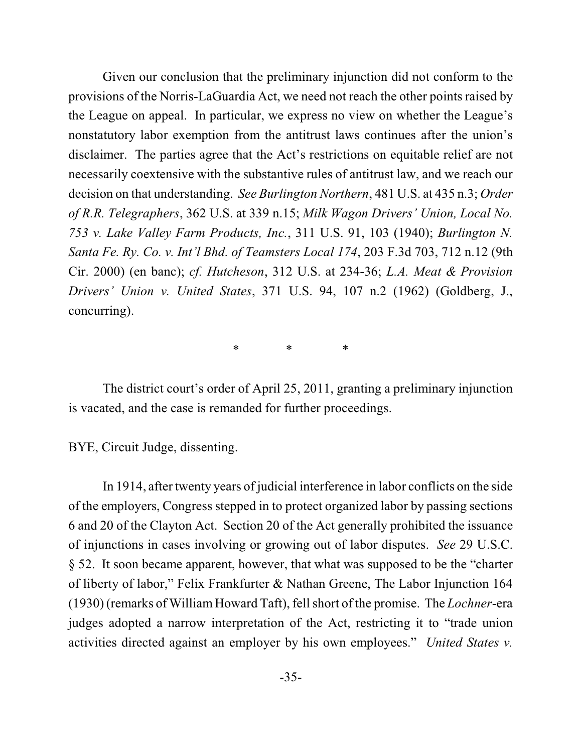Given our conclusion that the preliminary injunction did not conform to the provisions of the Norris-LaGuardia Act, we need not reach the other points raised by the League on appeal. In particular, we express no view on whether the League's nonstatutory labor exemption from the antitrust laws continues after the union's disclaimer. The parties agree that the Act's restrictions on equitable relief are not necessarily coextensive with the substantive rules of antitrust law, and we reach our decision on that understanding. *See Burlington Northern*, 481 U.S. at 435 n.3; *Order of R.R. Telegraphers*, 362 U.S. at 339 n.15; *Milk Wagon Drivers' Union, Local No. 753 v. Lake Valley Farm Products, Inc.*, 311 U.S. 91, 103 (1940); *Burlington N. Santa Fe. Ry. Co. v. Int'l Bhd. of Teamsters Local 174*, 203 F.3d 703, 712 n.12 (9th Cir. 2000) (en banc); *cf. Hutcheson*, 312 U.S. at 234-36; *L.A. Meat & Provision Drivers' Union v. United States*, 371 U.S. 94, 107 n.2 (1962) (Goldberg, J., concurring).

\* \* \*

The district court's order of April 25, 2011, granting a preliminary injunction is vacated, and the case is remanded for further proceedings.

BYE, Circuit Judge, dissenting.

In 1914, after twenty years of judicial interference in labor conflicts on the side of the employers, Congress stepped in to protect organized labor by passing sections 6 and 20 of the Clayton Act. Section 20 of the Act generally prohibited the issuance of injunctions in cases involving or growing out of labor disputes. *See* 29 U.S.C. § 52. It soon became apparent, however, that what was supposed to be the "charter of liberty of labor," Felix Frankfurter & Nathan Greene, The Labor Injunction 164 (1930) (remarks of WilliamHoward Taft), fell short of the promise. The *Lochner*-era judges adopted a narrow interpretation of the Act, restricting it to "trade union activities directed against an employer by his own employees." *United States v.*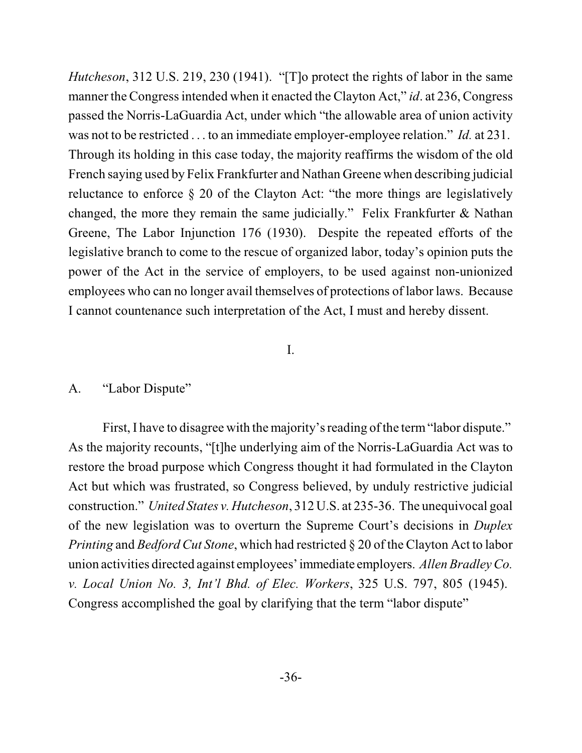*Hutcheson*, 312 U.S. 219, 230 (1941). "[T]o protect the rights of labor in the same manner the Congress intended when it enacted the Clayton Act," *id*. at 236, Congress passed the Norris-LaGuardia Act, under which "the allowable area of union activity was not to be restricted . . . to an immediate employer-employee relation." *Id.* at 231. Through its holding in this case today, the majority reaffirms the wisdom of the old French saying used by Felix Frankfurter and Nathan Greene when describing judicial reluctance to enforce § 20 of the Clayton Act: "the more things are legislatively changed, the more they remain the same judicially." Felix Frankfurter & Nathan Greene, The Labor Injunction 176 (1930). Despite the repeated efforts of the legislative branch to come to the rescue of organized labor, today's opinion puts the power of the Act in the service of employers, to be used against non-unionized employees who can no longer avail themselves of protections of labor laws. Because I cannot countenance such interpretation of the Act, I must and hereby dissent.

## I.

## A. "Labor Dispute"

First, I have to disagree with the majority's reading of the term "labor dispute." As the majority recounts, "[t]he underlying aim of the Norris-LaGuardia Act was to restore the broad purpose which Congress thought it had formulated in the Clayton Act but which was frustrated, so Congress believed, by unduly restrictive judicial construction." *United States v. Hutcheson*, 312 U.S. at 235-36. The unequivocal goal of the new legislation was to overturn the Supreme Court's decisions in *Duplex Printing* and *Bedford Cut Stone*, which had restricted § 20 of the Clayton Act to labor union activities directed against employees'immediate employers. *AllenBradley Co. v. Local Union No. 3, Int'l Bhd. of Elec. Workers*, 325 U.S. 797, 805 (1945). Congress accomplished the goal by clarifying that the term "labor dispute"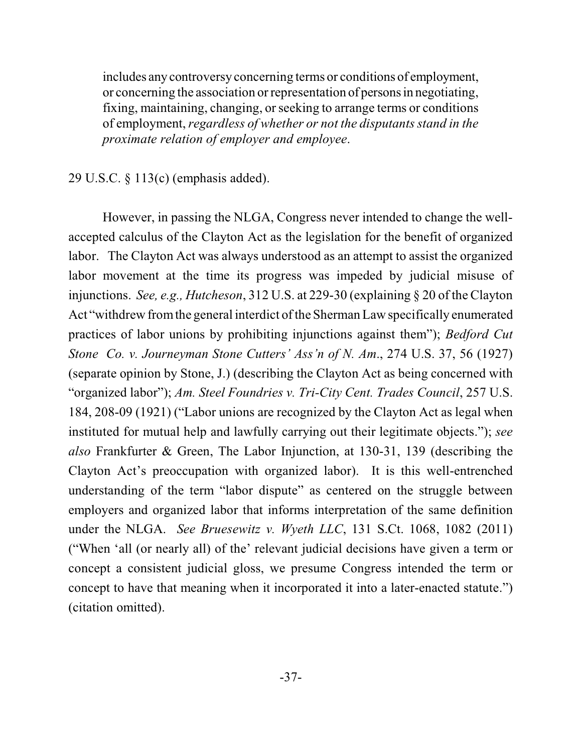includes any controversy concerning terms or conditions of employment, or concerning the association orrepresentation of persons in negotiating, fixing, maintaining, changing, orseeking to arrange terms or conditions of employment, *regardless of whether or not the disputants stand in the proximate relation of employer and employee*.

## 29 U.S.C. § 113(c) (emphasis added).

However, in passing the NLGA, Congress never intended to change the wellaccepted calculus of the Clayton Act as the legislation for the benefit of organized labor. The Clayton Act was always understood as an attempt to assist the organized labor movement at the time its progress was impeded by judicial misuse of injunctions. *See, e.g., Hutcheson*, 312 U.S. at 229-30 (explaining § 20 of the Clayton Act "withdrew from the general interdict of the Sherman Law specifically enumerated practices of labor unions by prohibiting injunctions against them"); *Bedford Cut Stone Co. v. Journeyman Stone Cutters' Ass'n of N. Am*., 274 U.S. 37, 56 (1927) (separate opinion by Stone, J.) (describing the Clayton Act as being concerned with "organized labor"); *Am. Steel Foundries v. Tri-City Cent. Trades Council*, 257 U.S. 184, 208-09 (1921) ("Labor unions are recognized by the Clayton Act as legal when instituted for mutual help and lawfully carrying out their legitimate objects."); *see also* Frankfurter & Green, The Labor Injunction, at 130-31, 139 (describing the Clayton Act's preoccupation with organized labor). It is this well-entrenched understanding of the term "labor dispute" as centered on the struggle between employers and organized labor that informs interpretation of the same definition under the NLGA. *See Bruesewitz v. Wyeth LLC*, 131 S.Ct. 1068, 1082 (2011) ("When 'all (or nearly all) of the' relevant judicial decisions have given a term or concept a consistent judicial gloss, we presume Congress intended the term or concept to have that meaning when it incorporated it into a later-enacted statute.") (citation omitted).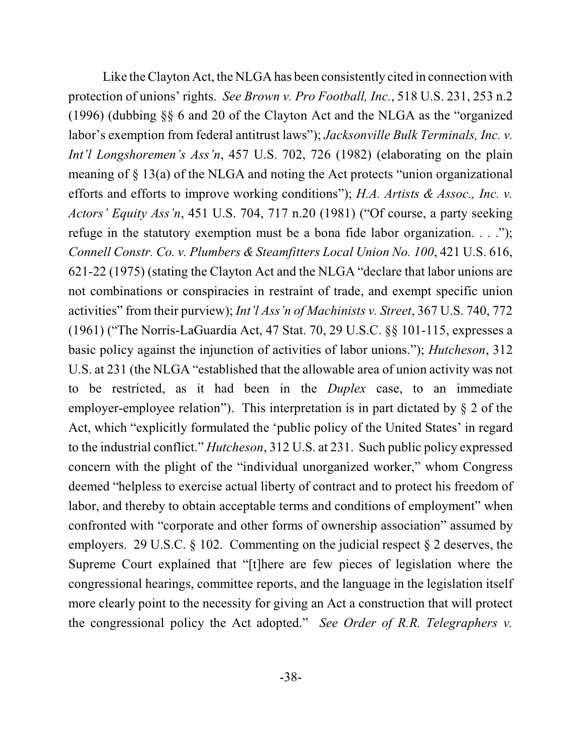Like the Clayton Act, the NLGA has been consistently cited in connection with protection of unions' rights. *See Brown v. Pro Football, Inc.*, 518 U.S. 231, 253 n.2 (1996) (dubbing §§ 6 and 20 of the Clayton Act and the NLGA as the "organized labor's exemption from federal antitrust laws"); *Jacksonville Bulk Terminals, Inc. v. Int'l Longshoremen's Ass'n*, 457 U.S. 702, 726 (1982) (elaborating on the plain meaning of § 13(a) of the NLGA and noting the Act protects "union organizational efforts and efforts to improve working conditions"); *H.A. Artists & Assoc., Inc. v. Actors' Equity Ass'n*, 451 U.S. 704, 717 n.20 (1981) ("Of course, a party seeking refuge in the statutory exemption must be a bona fide labor organization. . . ."); *Connell Constr. Co. v. Plumbers & Steamfitters Local Union No. 100*, 421 U.S. 616, 621-22 (1975) (stating the Clayton Act and the NLGA "declare that labor unions are not combinations or conspiracies in restraint of trade, and exempt specific union activities" from their purview); *Int'l Ass'n of Machinists v. Street*, 367 U.S. 740, 772 (1961) ("The Norris-LaGuardia Act, 47 Stat. 70, 29 U.S.C. §§ 101-115, expresses a basic policy against the injunction of activities of labor unions."); *Hutcheson*, 312 U.S. at 231 (the NLGA "established that the allowable area of union activity was not to be restricted, as it had been in the *Duplex* case, to an immediate employer-employee relation"). This interpretation is in part dictated by  $\S 2$  of the Act, which "explicitly formulated the 'public policy of the United States' in regard to the industrial conflict." *Hutcheson*, 312 U.S. at 231. Such public policy expressed concern with the plight of the "individual unorganized worker," whom Congress deemed "helpless to exercise actual liberty of contract and to protect his freedom of labor, and thereby to obtain acceptable terms and conditions of employment" when confronted with "corporate and other forms of ownership association" assumed by employers. 29 U.S.C.  $\S$  102. Commenting on the judicial respect  $\S$  2 deserves, the Supreme Court explained that "[t]here are few pieces of legislation where the congressional hearings, committee reports, and the language in the legislation itself more clearly point to the necessity for giving an Act a construction that will protect the congressional policy the Act adopted." *See Order of R.R. Telegraphers v.*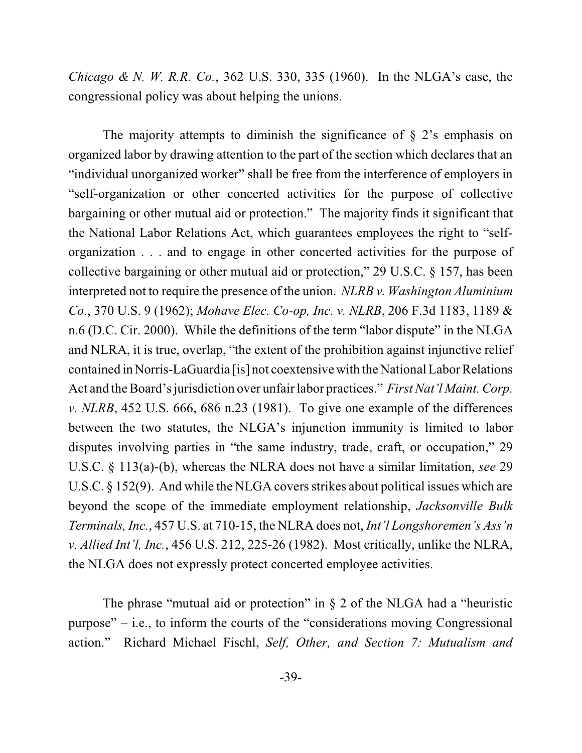*Chicago & N. W. R.R. Co.*, 362 U.S. 330, 335 (1960). In the NLGA's case, the congressional policy was about helping the unions.

The majority attempts to diminish the significance of  $\S$  2's emphasis on organized labor by drawing attention to the part of the section which declares that an "individual unorganized worker" shall be free from the interference of employers in "self-organization or other concerted activities for the purpose of collective bargaining or other mutual aid or protection." The majority finds it significant that the National Labor Relations Act, which guarantees employees the right to "selforganization . . . and to engage in other concerted activities for the purpose of collective bargaining or other mutual aid or protection," 29 U.S.C. § 157, has been interpreted not to require the presence of the union. *NLRB v. Washington Aluminium Co.*, 370 U.S. 9 (1962); *Mohave Elec. Co-op, Inc. v. NLRB*, 206 F.3d 1183, 1189 & n.6 (D.C. Cir. 2000). While the definitions of the term "labor dispute" in the NLGA and NLRA, it is true, overlap, "the extent of the prohibition against injunctive relief contained in Norris-LaGuardia [is] not coextensive with the National LaborRelations Act and the Board's jurisdiction over unfair labor practices." *First Nat'l Maint. Corp. v. NLRB*, 452 U.S. 666, 686 n.23 (1981). To give one example of the differences between the two statutes, the NLGA's injunction immunity is limited to labor disputes involving parties in "the same industry, trade, craft, or occupation," 29 U.S.C. § 113(a)-(b), whereas the NLRA does not have a similar limitation, *see* 29 U.S.C.  $\S$  152(9). And while the NLGA covers strikes about political issues which are beyond the scope of the immediate employment relationship, *Jacksonville Bulk Terminals, Inc.*, 457 U.S. at 710-15, the NLRA does not, *Int'l Longshoremen's Ass'n v. Allied Int'l, Inc.*, 456 U.S. 212, 225-26 (1982). Most critically, unlike the NLRA, the NLGA does not expressly protect concerted employee activities.

The phrase "mutual aid or protection" in  $\S$  2 of the NLGA had a "heuristic purpose" – i.e., to inform the courts of the "considerations moving Congressional action." Richard Michael Fischl, *Self, Other, and Section 7: Mutualism and*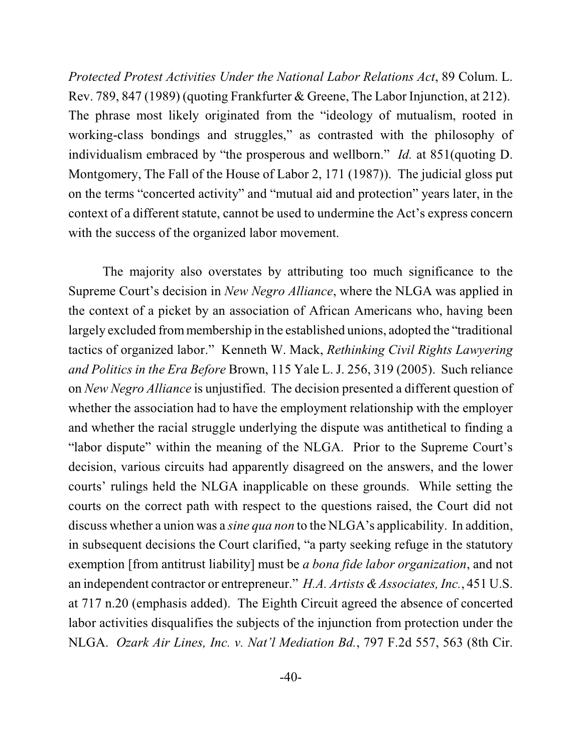*Protected Protest Activities Under the National Labor Relations Act*, 89 Colum. L. Rev. 789, 847 (1989) (quoting Frankfurter & Greene, The Labor Injunction, at 212). The phrase most likely originated from the "ideology of mutualism, rooted in working-class bondings and struggles," as contrasted with the philosophy of individualism embraced by "the prosperous and wellborn." *Id.* at 851(quoting D. Montgomery, The Fall of the House of Labor 2, 171 (1987)). The judicial gloss put on the terms "concerted activity" and "mutual aid and protection" years later, in the context of a different statute, cannot be used to undermine the Act's express concern with the success of the organized labor movement.

The majority also overstates by attributing too much significance to the Supreme Court's decision in *New Negro Alliance*, where the NLGA was applied in the context of a picket by an association of African Americans who, having been largely excluded from membership in the established unions, adopted the "traditional" tactics of organized labor." Kenneth W. Mack, *Rethinking Civil Rights Lawyering and Politics in the Era Before* Brown, 115 Yale L. J. 256, 319 (2005). Such reliance on *New Negro Alliance* is unjustified. The decision presented a different question of whether the association had to have the employment relationship with the employer and whether the racial struggle underlying the dispute was antithetical to finding a "labor dispute" within the meaning of the NLGA. Prior to the Supreme Court's decision, various circuits had apparently disagreed on the answers, and the lower courts' rulings held the NLGA inapplicable on these grounds. While setting the courts on the correct path with respect to the questions raised, the Court did not discuss whether a union was a *sine qua non* to the NLGA's applicability. In addition, in subsequent decisions the Court clarified, "a party seeking refuge in the statutory exemption [from antitrust liability] must be *a bona fide labor organization*, and not an independent contractor or entrepreneur." *H.A. Artists &Associates, Inc.*, 451 U.S. at 717 n.20 (emphasis added). The Eighth Circuit agreed the absence of concerted labor activities disqualifies the subjects of the injunction from protection under the NLGA. *Ozark Air Lines, Inc. v. Nat'l Mediation Bd.*, 797 F.2d 557, 563 (8th Cir.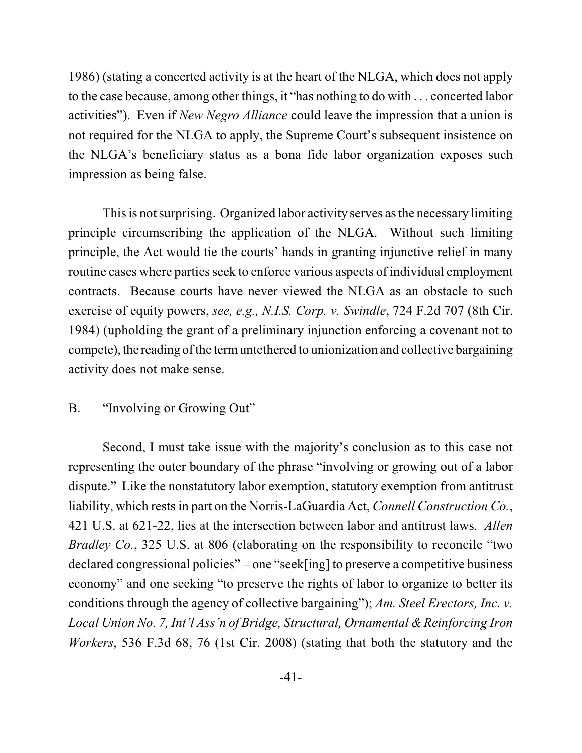1986) (stating a concerted activity is at the heart of the NLGA, which does not apply to the case because, among other things, it "has nothing to do with . . . concerted labor activities"). Even if *New Negro Alliance* could leave the impression that a union is not required for the NLGA to apply, the Supreme Court's subsequent insistence on the NLGA's beneficiary status as a bona fide labor organization exposes such impression as being false.

This is not surprising. Organized labor activity serves asthe necessary limiting principle circumscribing the application of the NLGA. Without such limiting principle, the Act would tie the courts' hands in granting injunctive relief in many routine cases where parties seek to enforce various aspects of individual employment contracts. Because courts have never viewed the NLGA as an obstacle to such exercise of equity powers, *see, e.g., N.I.S. Corp. v. Swindle*, 724 F.2d 707 (8th Cir. 1984) (upholding the grant of a preliminary injunction enforcing a covenant not to compete), the reading of the term untethered to unionization and collective bargaining activity does not make sense.

# B. "Involving or Growing Out"

Second, I must take issue with the majority's conclusion as to this case not representing the outer boundary of the phrase "involving or growing out of a labor dispute." Like the nonstatutory labor exemption, statutory exemption from antitrust liability, which rests in part on the Norris-LaGuardia Act, *Connell Construction Co.*, 421 U.S. at 621-22, lies at the intersection between labor and antitrust laws. *Allen Bradley Co.*, 325 U.S. at 806 (elaborating on the responsibility to reconcile "two declared congressional policies" – one "seek[ing] to preserve a competitive business economy" and one seeking "to preserve the rights of labor to organize to better its conditions through the agency of collective bargaining"); *Am. Steel Erectors, Inc. v. Local Union No. 7, Int'l Ass'n of Bridge, Structural, Ornamental & Reinforcing Iron Workers*, 536 F.3d 68, 76 (1st Cir. 2008) (stating that both the statutory and the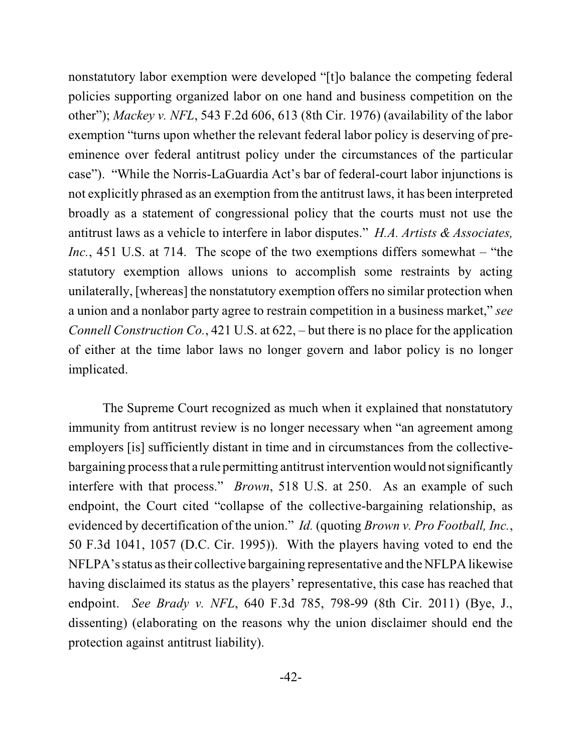nonstatutory labor exemption were developed "[t]o balance the competing federal policies supporting organized labor on one hand and business competition on the other"); *Mackey v. NFL*, 543 F.2d 606, 613 (8th Cir. 1976) (availability of the labor exemption "turns upon whether the relevant federal labor policy is deserving of preeminence over federal antitrust policy under the circumstances of the particular case"). "While the Norris-LaGuardia Act's bar of federal-court labor injunctions is not explicitly phrased as an exemption from the antitrust laws, it has been interpreted broadly as a statement of congressional policy that the courts must not use the antitrust laws as a vehicle to interfere in labor disputes." *H.A. Artists & Associates, Inc.*, 451 U.S. at 714. The scope of the two exemptions differs somewhat – "the statutory exemption allows unions to accomplish some restraints by acting unilaterally, [whereas] the nonstatutory exemption offers no similar protection when a union and a nonlabor party agree to restrain competition in a business market," *see Connell Construction Co.*, 421 U.S. at 622, – but there is no place for the application of either at the time labor laws no longer govern and labor policy is no longer implicated.

The Supreme Court recognized as much when it explained that nonstatutory immunity from antitrust review is no longer necessary when "an agreement among employers [is] sufficiently distant in time and in circumstances from the collectivebargaining process that a rule permitting antitrust intervention would notsignificantly interfere with that process." *Brown*, 518 U.S. at 250. As an example of such endpoint, the Court cited "collapse of the collective-bargaining relationship, as evidenced by decertification of the union." *Id.* (quoting *Brown v. Pro Football, Inc.*, 50 F.3d 1041, 1057 (D.C. Cir. 1995)). With the players having voted to end the NFLPA's status astheir collective bargaining representative and the NFLPA likewise having disclaimed its status as the players' representative, this case has reached that endpoint. *See Brady v. NFL*, 640 F.3d 785, 798-99 (8th Cir. 2011) (Bye, J., dissenting) (elaborating on the reasons why the union disclaimer should end the protection against antitrust liability).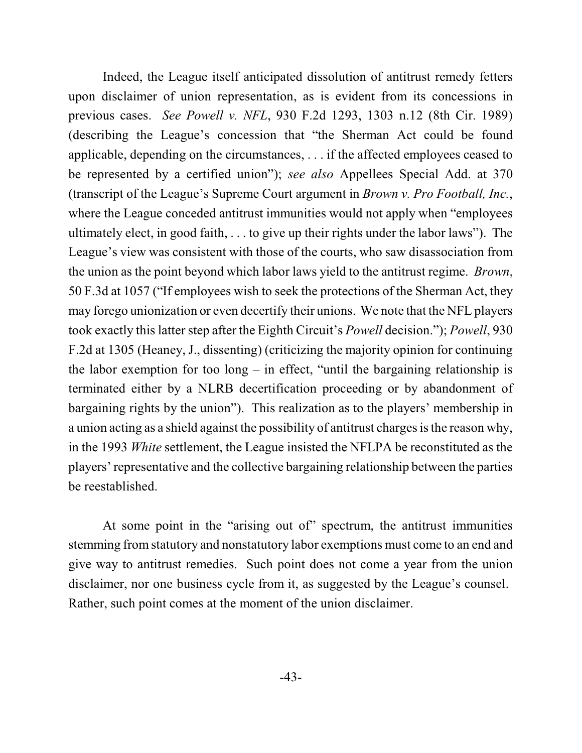Indeed, the League itself anticipated dissolution of antitrust remedy fetters upon disclaimer of union representation, as is evident from its concessions in previous cases. *See Powell v. NFL*, 930 F.2d 1293, 1303 n.12 (8th Cir. 1989) (describing the League's concession that "the Sherman Act could be found applicable, depending on the circumstances, . . . if the affected employees ceased to be represented by a certified union"); *see also* Appellees Special Add. at 370 (transcript of the League's Supreme Court argument in *Brown v. Pro Football, Inc.*, where the League conceded antitrust immunities would not apply when "employees ultimately elect, in good faith, . . . to give up their rights under the labor laws"). The League's view was consistent with those of the courts, who saw disassociation from the union as the point beyond which labor laws yield to the antitrust regime. *Brown*, 50 F.3d at 1057 ("If employees wish to seek the protections of the Sherman Act, they may forego unionization or even decertify their unions. We note that the NFL players took exactly this latter step after the Eighth Circuit's *Powell* decision."); *Powell*, 930 F.2d at 1305 (Heaney, J., dissenting) (criticizing the majority opinion for continuing the labor exemption for too long – in effect, "until the bargaining relationship is terminated either by a NLRB decertification proceeding or by abandonment of bargaining rights by the union"). This realization as to the players' membership in a union acting as a shield against the possibility of antitrust charges is the reason why, in the 1993 *White* settlement, the League insisted the NFLPA be reconstituted as the players' representative and the collective bargaining relationship between the parties be reestablished.

At some point in the "arising out of" spectrum, the antitrust immunities stemming from statutory and nonstatutory labor exemptions must come to an end and give way to antitrust remedies. Such point does not come a year from the union disclaimer, nor one business cycle from it, as suggested by the League's counsel. Rather, such point comes at the moment of the union disclaimer.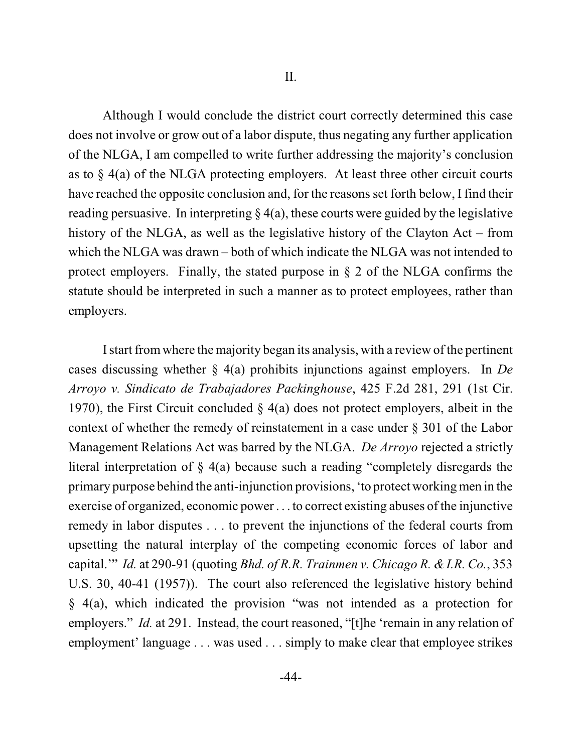Although I would conclude the district court correctly determined this case does not involve or grow out of a labor dispute, thus negating any further application of the NLGA, I am compelled to write further addressing the majority's conclusion as to  $\S$  4(a) of the NLGA protecting employers. At least three other circuit courts have reached the opposite conclusion and, for the reasons set forth below, I find their reading persuasive. In interpreting  $\S 4(a)$ , these courts were guided by the legislative history of the NLGA, as well as the legislative history of the Clayton Act – from which the NLGA was drawn – both of which indicate the NLGA was not intended to protect employers. Finally, the stated purpose in  $\S$  2 of the NLGA confirms the statute should be interpreted in such a manner as to protect employees, rather than employers.

I start fromwhere the majority began its analysis, with a review of the pertinent cases discussing whether § 4(a) prohibits injunctions against employers. In *De Arroyo v. Sindicato de Trabajadores Packinghouse*, 425 F.2d 281, 291 (1st Cir. 1970), the First Circuit concluded  $\S$  4(a) does not protect employers, albeit in the context of whether the remedy of reinstatement in a case under § 301 of the Labor Management Relations Act was barred by the NLGA. *De Arroyo* rejected a strictly literal interpretation of § 4(a) because such a reading "completely disregards the primary purpose behind the anti-injunction provisions, 'to protect working men in the exercise of organized, economic power . . . to correct existing abuses of the injunctive remedy in labor disputes . . . to prevent the injunctions of the federal courts from upsetting the natural interplay of the competing economic forces of labor and capital.'" *Id.* at 290-91 (quoting *Bhd. of R.R. Trainmen v. Chicago R. & I.R. Co.*, 353 U.S. 30, 40-41 (1957)). The court also referenced the legislative history behind § 4(a), which indicated the provision "was not intended as a protection for employers." *Id.* at 291. Instead, the court reasoned, "[t]he 'remain in any relation of employment' language . . . was used . . . simply to make clear that employee strikes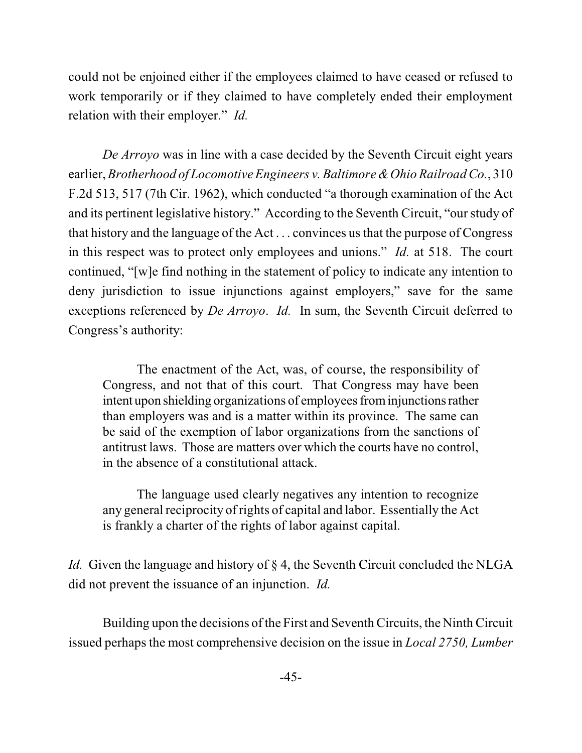could not be enjoined either if the employees claimed to have ceased or refused to work temporarily or if they claimed to have completely ended their employment relation with their employer." *Id.*

*De Arroyo* was in line with a case decided by the Seventh Circuit eight years earlier, *Brotherhood of Locomotive Engineers v. Baltimore &Ohio Railroad Co.*, 310 F.2d 513, 517 (7th Cir. 1962), which conducted "a thorough examination of the Act and its pertinent legislative history." According to the Seventh Circuit, "our study of that history and the language of the Act . . . convinces usthat the purpose of Congress in this respect was to protect only employees and unions." *Id.* at 518. The court continued, "[w]e find nothing in the statement of policy to indicate any intention to deny jurisdiction to issue injunctions against employers," save for the same exceptions referenced by *De Arroyo*. *Id.* In sum, the Seventh Circuit deferred to Congress's authority:

The enactment of the Act, was, of course, the responsibility of Congress, and not that of this court. That Congress may have been intent upon shielding organizations of employees frominjunctions rather than employers was and is a matter within its province. The same can be said of the exemption of labor organizations from the sanctions of antitrust laws. Those are matters over which the courts have no control, in the absence of a constitutional attack.

The language used clearly negatives any intention to recognize any general reciprocity of rights of capital and labor. Essentially the Act is frankly a charter of the rights of labor against capital.

*Id.* Given the language and history of § 4, the Seventh Circuit concluded the NLGA did not prevent the issuance of an injunction. *Id.*

Building upon the decisions of the First and Seventh Circuits, the Ninth Circuit issued perhaps the most comprehensive decision on the issue in *Local 2750, Lumber*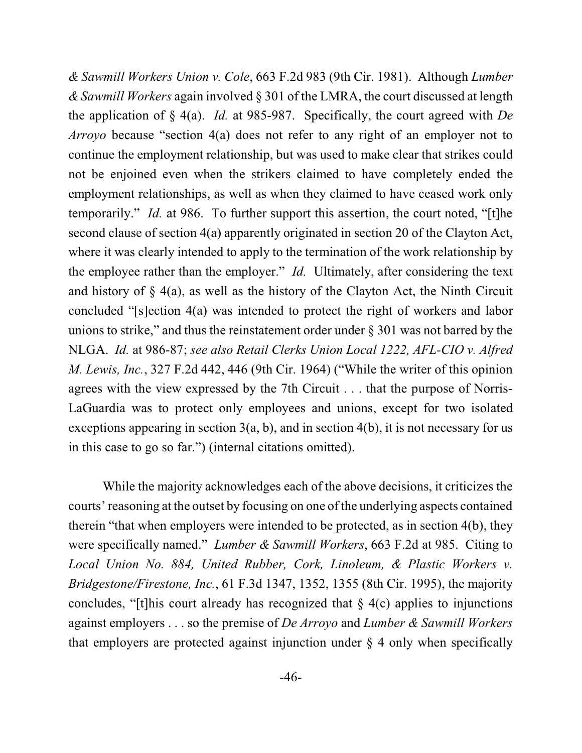*& Sawmill Workers Union v. Cole*, 663 F.2d 983 (9th Cir. 1981). Although *Lumber & Sawmill Workers* again involved § 301 of the LMRA, the court discussed at length the application of § 4(a). *Id.* at 985-987. Specifically, the court agreed with *De Arroyo* because "section 4(a) does not refer to any right of an employer not to continue the employment relationship, but was used to make clear that strikes could not be enjoined even when the strikers claimed to have completely ended the employment relationships, as well as when they claimed to have ceased work only temporarily." *Id.* at 986. To further support this assertion, the court noted, "[t]he second clause of section 4(a) apparently originated in section 20 of the Clayton Act, where it was clearly intended to apply to the termination of the work relationship by the employee rather than the employer." *Id.* Ultimately, after considering the text and history of  $\S$  4(a), as well as the history of the Clayton Act, the Ninth Circuit concluded "[s]ection 4(a) was intended to protect the right of workers and labor unions to strike," and thus the reinstatement order under  $\S 301$  was not barred by the NLGA. *Id.* at 986-87; *see also Retail Clerks Union Local 1222, AFL-CIO v. Alfred M. Lewis, Inc.*, 327 F.2d 442, 446 (9th Cir. 1964) ("While the writer of this opinion agrees with the view expressed by the 7th Circuit . . . that the purpose of Norris-LaGuardia was to protect only employees and unions, except for two isolated exceptions appearing in section  $3(a, b)$ , and in section  $4(b)$ , it is not necessary for us in this case to go so far.") (internal citations omitted).

While the majority acknowledges each of the above decisions, it criticizes the courts' reasoning at the outset by focusing on one of the underlying aspects contained therein "that when employers were intended to be protected, as in section 4(b), they were specifically named." *Lumber & Sawmill Workers*, 663 F.2d at 985. Citing to *Local Union No. 884, United Rubber, Cork, Linoleum, & Plastic Workers v. Bridgestone/Firestone, Inc.*, 61 F.3d 1347, 1352, 1355 (8th Cir. 1995), the majority concludes, "[t]his court already has recognized that  $\S$  4(c) applies to injunctions against employers . . . so the premise of *De Arroyo* and *Lumber & Sawmill Workers* that employers are protected against injunction under  $\S$  4 only when specifically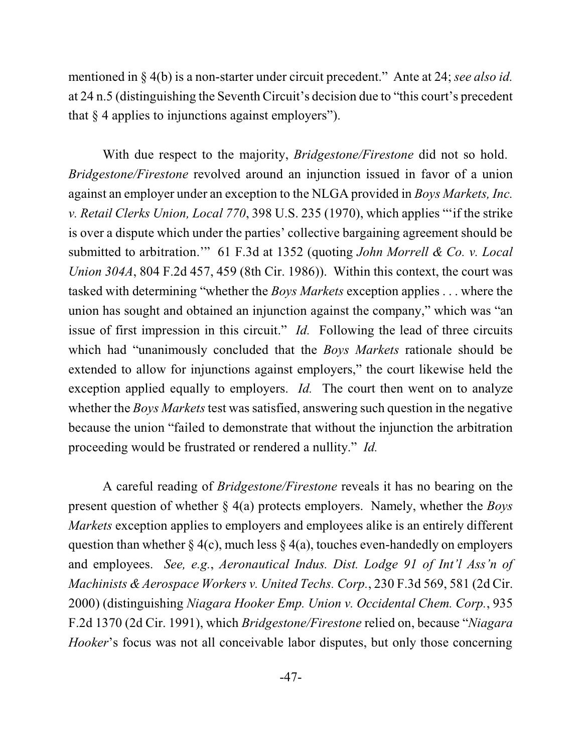mentioned in § 4(b) is a non-starter under circuit precedent." Ante at 24; *see also id.* at 24 n.5 (distinguishing the Seventh Circuit's decision due to "this court's precedent that  $§$  4 applies to injunctions against employers").

With due respect to the majority, *Bridgestone/Firestone* did not so hold. *Bridgestone/Firestone* revolved around an injunction issued in favor of a union against an employer under an exception to the NLGA provided in *Boys Markets, Inc. v. Retail Clerks Union, Local 770*, 398 U.S. 235 (1970), which applies "'if the strike is over a dispute which under the parties' collective bargaining agreement should be submitted to arbitration.'" 61 F.3d at 1352 (quoting *John Morrell & Co. v. Local Union 304A*, 804 F.2d 457, 459 (8th Cir. 1986)). Within this context, the court was tasked with determining "whether the *Boys Markets* exception applies . . . where the union has sought and obtained an injunction against the company," which was "an issue of first impression in this circuit." *Id.* Following the lead of three circuits which had "unanimously concluded that the *Boys Markets* rationale should be extended to allow for injunctions against employers," the court likewise held the exception applied equally to employers. *Id.* The court then went on to analyze whether the *Boys Markets* test was satisfied, answering such question in the negative because the union "failed to demonstrate that without the injunction the arbitration proceeding would be frustrated or rendered a nullity." *Id.*

A careful reading of *Bridgestone/Firestone* reveals it has no bearing on the present question of whether § 4(a) protects employers. Namely, whether the *Boys Markets* exception applies to employers and employees alike is an entirely different question than whether  $\S 4(c)$ , much less  $\S 4(a)$ , touches even-handedly on employers and employees. *See, e.g.*, *Aeronautical Indus. Dist. Lodge 91 of Int'l Ass'n of Machinists & Aerospace Workers v. United Techs. Corp.*, 230 F.3d 569, 581 (2d Cir. 2000) (distinguishing *Niagara Hooker Emp. Union v. Occidental Chem. Corp.*, 935 F.2d 1370 (2d Cir. 1991), which *Bridgestone/Firestone* relied on, because "*Niagara Hooker*'s focus was not all conceivable labor disputes, but only those concerning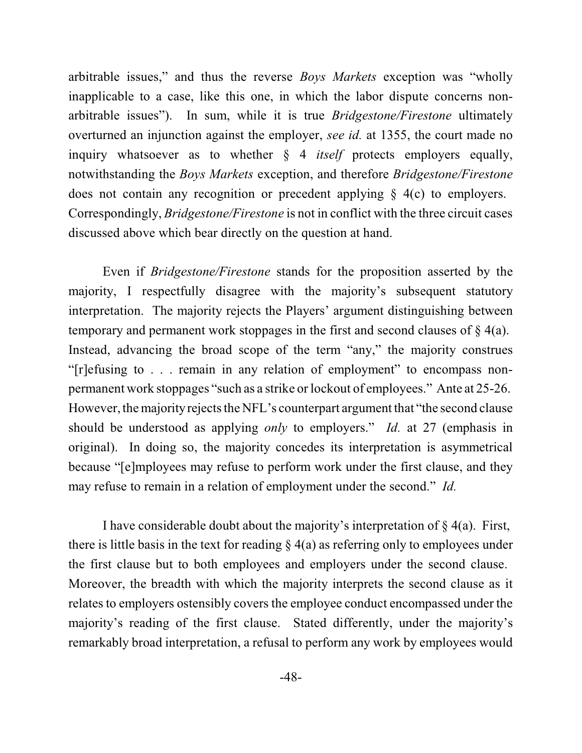arbitrable issues," and thus the reverse *Boys Markets* exception was "wholly inapplicable to a case, like this one, in which the labor dispute concerns nonarbitrable issues"). In sum, while it is true *Bridgestone/Firestone* ultimately overturned an injunction against the employer, *see id.* at 1355, the court made no inquiry whatsoever as to whether § 4 *itself* protects employers equally, notwithstanding the *Boys Markets* exception, and therefore *Bridgestone/Firestone* does not contain any recognition or precedent applying § 4(c) to employers. Correspondingly, *Bridgestone/Firestone* is not in conflict with the three circuit cases discussed above which bear directly on the question at hand.

Even if *Bridgestone/Firestone* stands for the proposition asserted by the majority, I respectfully disagree with the majority's subsequent statutory interpretation. The majority rejects the Players' argument distinguishing between temporary and permanent work stoppages in the first and second clauses of  $\S$  4(a). Instead, advancing the broad scope of the term "any," the majority construes "[r]efusing to . . . remain in any relation of employment" to encompass nonpermanent work stoppages "such as a strike or lockout of employees." Ante at 25-26. However, the majority rejects the NFL's counterpart argument that "the second clause" should be understood as applying *only* to employers." *Id.* at 27 (emphasis in original). In doing so, the majority concedes its interpretation is asymmetrical because "[e]mployees may refuse to perform work under the first clause, and they may refuse to remain in a relation of employment under the second." *Id.*

I have considerable doubt about the majority's interpretation of  $\S$  4(a). First, there is little basis in the text for reading  $\S 4(a)$  as referring only to employees under the first clause but to both employees and employers under the second clause. Moreover, the breadth with which the majority interprets the second clause as it relates to employers ostensibly covers the employee conduct encompassed under the majority's reading of the first clause. Stated differently, under the majority's remarkably broad interpretation, a refusal to perform any work by employees would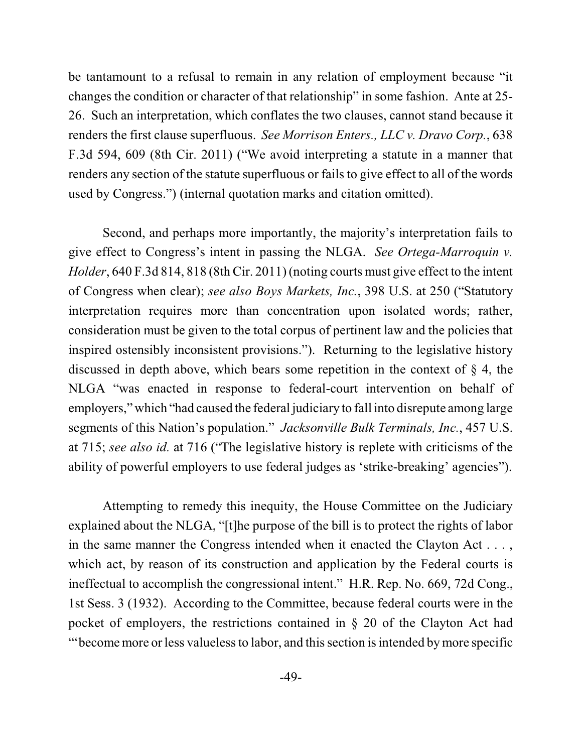be tantamount to a refusal to remain in any relation of employment because "it changes the condition or character of that relationship" in some fashion. Ante at 25- 26. Such an interpretation, which conflates the two clauses, cannot stand because it renders the first clause superfluous. *See Morrison Enters., LLC v. Dravo Corp.*, 638 F.3d 594, 609 (8th Cir. 2011) ("We avoid interpreting a statute in a manner that renders any section of the statute superfluous or fails to give effect to all of the words used by Congress.") (internal quotation marks and citation omitted).

Second, and perhaps more importantly, the majority's interpretation fails to give effect to Congress's intent in passing the NLGA. *See Ortega-Marroquin v. Holder*, 640 F.3d 814, 818 (8th Cir. 2011) (noting courts must give effect to the intent of Congress when clear); *see also Boys Markets, Inc.*, 398 U.S. at 250 ("Statutory interpretation requires more than concentration upon isolated words; rather, consideration must be given to the total corpus of pertinent law and the policies that inspired ostensibly inconsistent provisions."). Returning to the legislative history discussed in depth above, which bears some repetition in the context of § 4, the NLGA "was enacted in response to federal-court intervention on behalf of employers," which "had caused the federal judiciary to fall into disrepute among large segments of this Nation's population." *Jacksonville Bulk Terminals, Inc.*, 457 U.S. at 715; *see also id.* at 716 ("The legislative history is replete with criticisms of the ability of powerful employers to use federal judges as 'strike-breaking' agencies").

Attempting to remedy this inequity, the House Committee on the Judiciary explained about the NLGA, "[t]he purpose of the bill is to protect the rights of labor in the same manner the Congress intended when it enacted the Clayton Act . . . , which act, by reason of its construction and application by the Federal courts is ineffectual to accomplish the congressional intent." H.R. Rep. No. 669, 72d Cong., 1st Sess. 3 (1932). According to the Committee, because federal courts were in the pocket of employers, the restrictions contained in § 20 of the Clayton Act had "become more or less valueless to labor, and this section is intended by more specific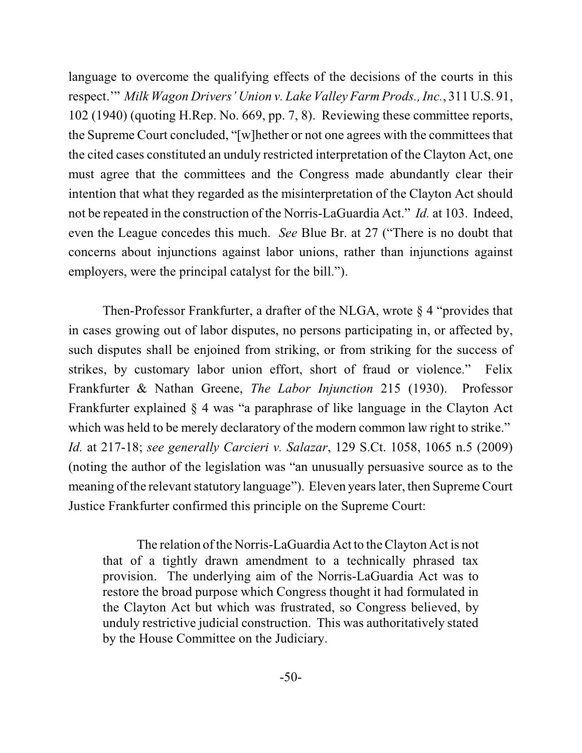language to overcome the qualifying effects of the decisions of the courts in this respect.'" *Milk Wagon Drivers' Union v. Lake Valley Farm Prods., Inc.*, 311 U.S. 91, 102 (1940) (quoting H.Rep. No. 669, pp. 7, 8). Reviewing these committee reports, the Supreme Court concluded, "[w]hether or not one agrees with the committees that the cited cases constituted an unduly restricted interpretation of the Clayton Act, one must agree that the committees and the Congress made abundantly clear their intention that what they regarded as the misinterpretation of the Clayton Act should not be repeated in the construction of the Norris-LaGuardia Act." *Id.* at 103. Indeed, even the League concedes this much. *See* Blue Br. at 27 ("There is no doubt that concerns about injunctions against labor unions, rather than injunctions against employers, were the principal catalyst for the bill.").

Then-Professor Frankfurter, a drafter of the NLGA, wrote § 4 "provides that in cases growing out of labor disputes, no persons participating in, or affected by, such disputes shall be enjoined from striking, or from striking for the success of strikes, by customary labor union effort, short of fraud or violence." Felix Frankfurter & Nathan Greene, *The Labor Injunction* 215 (1930). Professor Frankfurter explained § 4 was "a paraphrase of like language in the Clayton Act which was held to be merely declaratory of the modern common law right to strike." *Id.* at 217-18; *see generally Carcieri v. Salazar*, 129 S.Ct. 1058, 1065 n.5 (2009) (noting the author of the legislation was "an unusually persuasive source as to the meaning of the relevant statutory language"). Eleven yearslater, then Supreme Court Justice Frankfurter confirmed this principle on the Supreme Court:

The relation of the Norris-LaGuardia Act to the Clayton Act is not that of a tightly drawn amendment to a technically phrased tax provision. The underlying aim of the Norris-LaGuardia Act was to restore the broad purpose which Congress thought it had formulated in the Clayton Act but which was frustrated, so Congress believed, by unduly restrictive judicial construction. This was authoritatively stated by the House Committee on the Judiciary.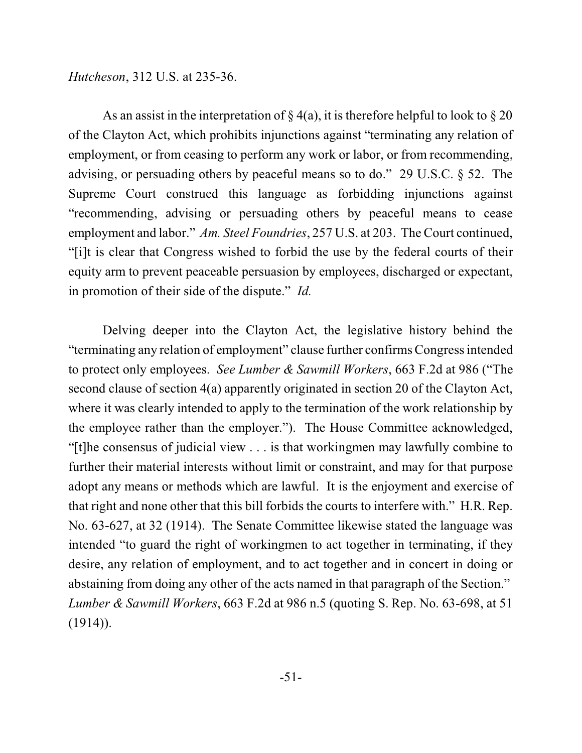*Hutcheson*, 312 U.S. at 235-36.

As an assist in the interpretation of  $\S 4(a)$ , it is therefore helpful to look to  $\S 20$ of the Clayton Act, which prohibits injunctions against "terminating any relation of employment, or from ceasing to perform any work or labor, or from recommending, advising, or persuading others by peaceful means so to do." 29 U.S.C. § 52. The Supreme Court construed this language as forbidding injunctions against "recommending, advising or persuading others by peaceful means to cease employment and labor." *Am. Steel Foundries*, 257 U.S. at 203. The Court continued, "[i]t is clear that Congress wished to forbid the use by the federal courts of their equity arm to prevent peaceable persuasion by employees, discharged or expectant, in promotion of their side of the dispute." *Id.*

Delving deeper into the Clayton Act, the legislative history behind the "terminating any relation of employment" clause further confirms Congress intended to protect only employees. *See Lumber & Sawmill Workers*, 663 F.2d at 986 ("The second clause of section 4(a) apparently originated in section 20 of the Clayton Act, where it was clearly intended to apply to the termination of the work relationship by the employee rather than the employer."). The House Committee acknowledged, "[t]he consensus of judicial view . . . is that workingmen may lawfully combine to further their material interests without limit or constraint, and may for that purpose adopt any means or methods which are lawful. It is the enjoyment and exercise of that right and none other that this bill forbids the courts to interfere with." H.R. Rep. No. 63-627, at 32 (1914). The Senate Committee likewise stated the language was intended "to guard the right of workingmen to act together in terminating, if they desire, any relation of employment, and to act together and in concert in doing or abstaining from doing any other of the acts named in that paragraph of the Section." *Lumber & Sawmill Workers*, 663 F.2d at 986 n.5 (quoting S. Rep. No. 63-698, at 51  $(1914)$ ).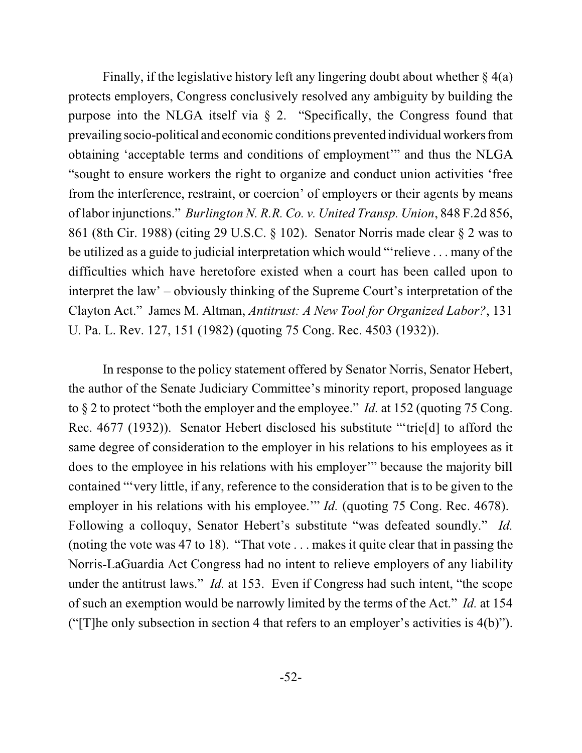Finally, if the legislative history left any lingering doubt about whether  $\S 4(a)$ protects employers, Congress conclusively resolved any ambiguity by building the purpose into the NLGA itself via § 2. "Specifically, the Congress found that prevailing socio-political and economic conditions prevented individual workers from obtaining 'acceptable terms and conditions of employment'" and thus the NLGA "sought to ensure workers the right to organize and conduct union activities 'free from the interference, restraint, or coercion' of employers or their agents by means of labor injunctions." *Burlington N. R.R. Co. v. United Transp. Union*, 848 F.2d 856, 861 (8th Cir. 1988) (citing 29 U.S.C. § 102). Senator Norris made clear § 2 was to be utilized as a guide to judicial interpretation which would "'relieve . . . many of the difficulties which have heretofore existed when a court has been called upon to interpret the law' – obviously thinking of the Supreme Court's interpretation of the Clayton Act." James M. Altman, *Antitrust: A New Tool for Organized Labor?*, 131 U. Pa. L. Rev. 127, 151 (1982) (quoting 75 Cong. Rec. 4503 (1932)).

In response to the policy statement offered by Senator Norris, Senator Hebert, the author of the Senate Judiciary Committee's minority report, proposed language to § 2 to protect "both the employer and the employee." *Id.* at 152 (quoting 75 Cong. Rec. 4677 (1932)). Senator Hebert disclosed his substitute "'trie[d] to afford the same degree of consideration to the employer in his relations to his employees as it does to the employee in his relations with his employer'" because the majority bill contained "'very little, if any, reference to the consideration that is to be given to the employer in his relations with his employee." *Id.* (quoting 75 Cong. Rec. 4678). Following a colloquy, Senator Hebert's substitute "was defeated soundly." *Id.* (noting the vote was 47 to 18). "That vote . . . makes it quite clear that in passing the Norris-LaGuardia Act Congress had no intent to relieve employers of any liability under the antitrust laws." *Id.* at 153. Even if Congress had such intent, "the scope" of such an exemption would be narrowly limited by the terms of the Act." *Id.* at 154 ("The only subsection in section 4 that refers to an employer's activities is  $4(b)$ ").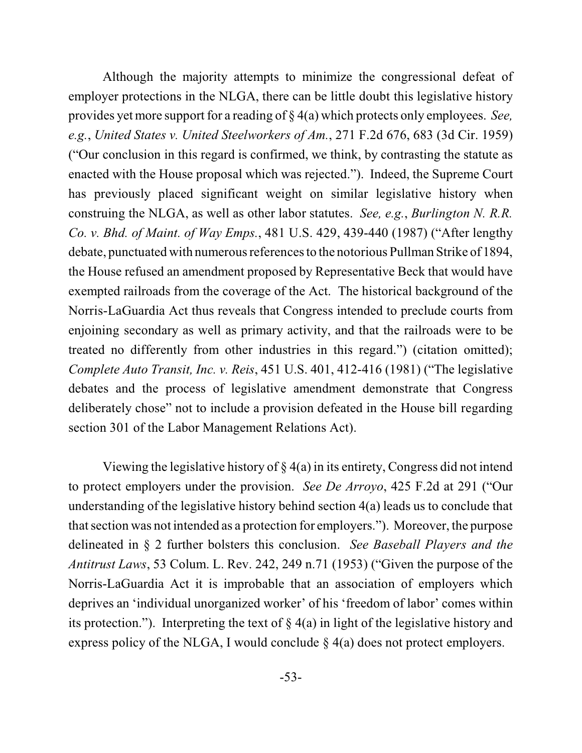Although the majority attempts to minimize the congressional defeat of employer protections in the NLGA, there can be little doubt this legislative history provides yet more support for a reading of § 4(a) which protects only employees. *See, e.g.*, *United States v. United Steelworkers of Am.*, 271 F.2d 676, 683 (3d Cir. 1959) ("Our conclusion in this regard is confirmed, we think, by contrasting the statute as enacted with the House proposal which was rejected."). Indeed, the Supreme Court has previously placed significant weight on similar legislative history when construing the NLGA, as well as other labor statutes. *See, e.g.*, *Burlington N. R.R. Co. v. Bhd. of Maint. of Way Emps.*, 481 U.S. 429, 439-440 (1987) ("After lengthy debate, punctuated with numerous references to the notorious Pullman Strike of 1894, the House refused an amendment proposed by Representative Beck that would have exempted railroads from the coverage of the Act. The historical background of the Norris-LaGuardia Act thus reveals that Congress intended to preclude courts from enjoining secondary as well as primary activity, and that the railroads were to be treated no differently from other industries in this regard.") (citation omitted); *Complete Auto Transit, Inc. v. Reis*, 451 U.S. 401, 412-416 (1981) ("The legislative debates and the process of legislative amendment demonstrate that Congress deliberately chose" not to include a provision defeated in the House bill regarding section 301 of the Labor Management Relations Act).

Viewing the legislative history of  $\S 4(a)$  in its entirety, Congress did not intend to protect employers under the provision. *See De Arroyo*, 425 F.2d at 291 ("Our understanding of the legislative history behind section 4(a) leads us to conclude that that section was not intended as a protection for employers."). Moreover, the purpose delineated in § 2 further bolsters this conclusion. *See Baseball Players and the Antitrust Laws*, 53 Colum. L. Rev. 242, 249 n.71 (1953) ("Given the purpose of the Norris-LaGuardia Act it is improbable that an association of employers which deprives an 'individual unorganized worker' of his 'freedom of labor' comes within its protection."). Interpreting the text of  $\S 4(a)$  in light of the legislative history and express policy of the NLGA, I would conclude § 4(a) does not protect employers.